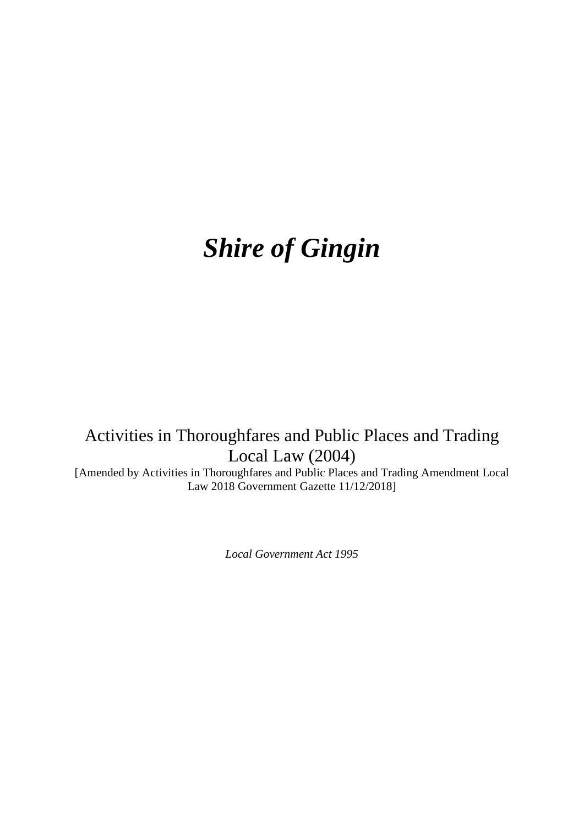# *Shire of Gingin*

## Activities in Thoroughfares and Public Places and Trading Local Law (2004)

[Amended by Activities in Thoroughfares and Public Places and Trading Amendment Local Law 2018 Government Gazette 11/12/2018]

*Local Government Act 1995*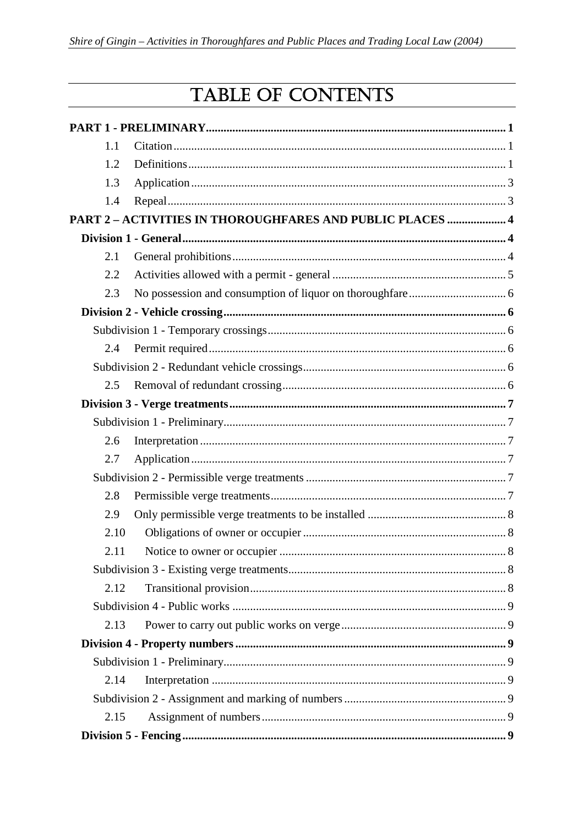## TABLE OF CONTENTS

| 1.1  |                                                                  |  |
|------|------------------------------------------------------------------|--|
| 1.2  |                                                                  |  |
| 1.3  |                                                                  |  |
| 1.4  |                                                                  |  |
|      | <b>PART 2 - ACTIVITIES IN THOROUGHFARES AND PUBLIC PLACES  4</b> |  |
|      |                                                                  |  |
| 2.1  |                                                                  |  |
| 2.2  |                                                                  |  |
| 2.3  |                                                                  |  |
|      |                                                                  |  |
|      |                                                                  |  |
| 2.4  |                                                                  |  |
|      |                                                                  |  |
| 2.5  |                                                                  |  |
|      |                                                                  |  |
|      |                                                                  |  |
| 2.6  |                                                                  |  |
| 2.7  |                                                                  |  |
|      |                                                                  |  |
| 2.8  |                                                                  |  |
| 2.9  |                                                                  |  |
| 2.10 |                                                                  |  |
| 2.11 |                                                                  |  |
|      |                                                                  |  |
| 2.12 |                                                                  |  |
|      |                                                                  |  |
| 2.13 |                                                                  |  |
|      |                                                                  |  |
|      |                                                                  |  |
| 2.14 |                                                                  |  |
|      |                                                                  |  |
| 2.15 |                                                                  |  |
|      |                                                                  |  |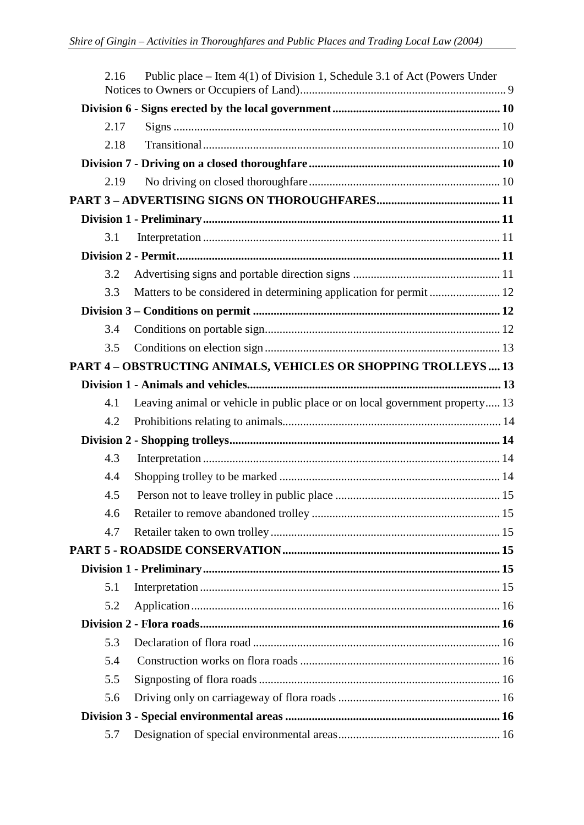| 2.16 | Public place – Item $4(1)$ of Division 1, Schedule 3.1 of Act (Powers Under  |  |
|------|------------------------------------------------------------------------------|--|
|      |                                                                              |  |
| 2.17 |                                                                              |  |
| 2.18 |                                                                              |  |
|      |                                                                              |  |
| 2.19 |                                                                              |  |
|      |                                                                              |  |
|      |                                                                              |  |
| 3.1  |                                                                              |  |
|      |                                                                              |  |
| 3.2  |                                                                              |  |
| 3.3  |                                                                              |  |
|      |                                                                              |  |
| 3.4  |                                                                              |  |
| 3.5  |                                                                              |  |
|      | PART 4 - OBSTRUCTING ANIMALS, VEHICLES OR SHOPPING TROLLEYS  13              |  |
|      |                                                                              |  |
| 4.1  | Leaving animal or vehicle in public place or on local government property 13 |  |
| 4.2  |                                                                              |  |
|      |                                                                              |  |
| 4.3  |                                                                              |  |
| 4.4  |                                                                              |  |
| 4.5  |                                                                              |  |
| 4.6  |                                                                              |  |
| 4.7  |                                                                              |  |
|      |                                                                              |  |
|      |                                                                              |  |
| 5.1  |                                                                              |  |
| 5.2  |                                                                              |  |
|      |                                                                              |  |
| 5.3  |                                                                              |  |
| 5.4  |                                                                              |  |
| 5.5  |                                                                              |  |
| 5.6  |                                                                              |  |
|      |                                                                              |  |
| 5.7  |                                                                              |  |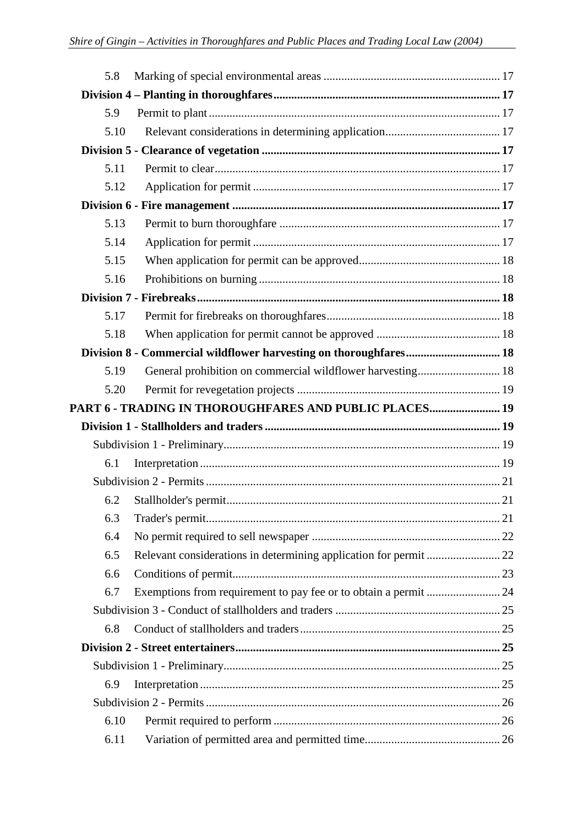| 5.8          |                                                                   |  |
|--------------|-------------------------------------------------------------------|--|
|              |                                                                   |  |
| 5.9          |                                                                   |  |
| 5.10         |                                                                   |  |
|              |                                                                   |  |
| 5.11         |                                                                   |  |
| 5.12         |                                                                   |  |
|              |                                                                   |  |
| 5.13         |                                                                   |  |
| 5.14         |                                                                   |  |
| 5.15         |                                                                   |  |
| 5.16         |                                                                   |  |
|              |                                                                   |  |
| 5.17         |                                                                   |  |
| 5.18         |                                                                   |  |
|              | Division 8 - Commercial wildflower harvesting on thoroughfares 18 |  |
| 5.19         |                                                                   |  |
| 5.20         |                                                                   |  |
|              | PART 6 - TRADING IN THOROUGHFARES AND PUBLIC PLACES 19            |  |
|              |                                                                   |  |
|              |                                                                   |  |
| 6.1          |                                                                   |  |
|              |                                                                   |  |
| 6.2          |                                                                   |  |
| 6.3          |                                                                   |  |
| 6.4          |                                                                   |  |
| 6.5          |                                                                   |  |
| 6.6          |                                                                   |  |
| 6.7          |                                                                   |  |
|              |                                                                   |  |
| 6.8          |                                                                   |  |
|              |                                                                   |  |
|              |                                                                   |  |
|              |                                                                   |  |
| 6.9          |                                                                   |  |
|              |                                                                   |  |
| 6.10<br>6.11 |                                                                   |  |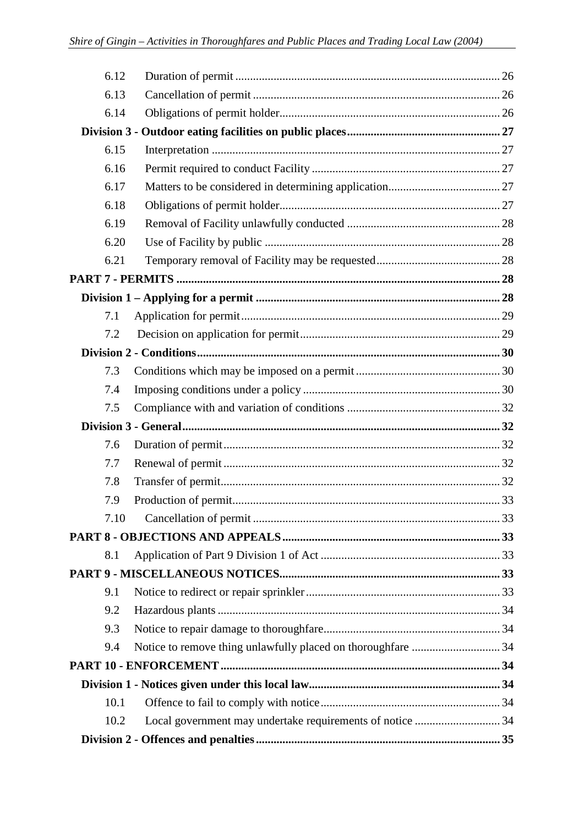| 6.12 |                                                                   |  |
|------|-------------------------------------------------------------------|--|
| 6.13 |                                                                   |  |
| 6.14 |                                                                   |  |
|      |                                                                   |  |
| 6.15 |                                                                   |  |
| 6.16 |                                                                   |  |
| 6.17 |                                                                   |  |
| 6.18 |                                                                   |  |
| 6.19 |                                                                   |  |
| 6.20 |                                                                   |  |
| 6.21 |                                                                   |  |
|      |                                                                   |  |
|      |                                                                   |  |
| 7.1  |                                                                   |  |
| 7.2  |                                                                   |  |
|      |                                                                   |  |
| 7.3  |                                                                   |  |
| 7.4  |                                                                   |  |
| 7.5  |                                                                   |  |
|      |                                                                   |  |
| 7.6  |                                                                   |  |
| 7.7  |                                                                   |  |
| 7.8  |                                                                   |  |
| 7.9  |                                                                   |  |
| 7.10 |                                                                   |  |
|      |                                                                   |  |
| 8.1  |                                                                   |  |
|      |                                                                   |  |
| 9.1  |                                                                   |  |
| 9.2  |                                                                   |  |
| 9.3  |                                                                   |  |
| 9.4  |                                                                   |  |
|      |                                                                   |  |
|      |                                                                   |  |
| 10.1 |                                                                   |  |
|      | Local government may undertake requirements of notice  34<br>10.2 |  |
|      |                                                                   |  |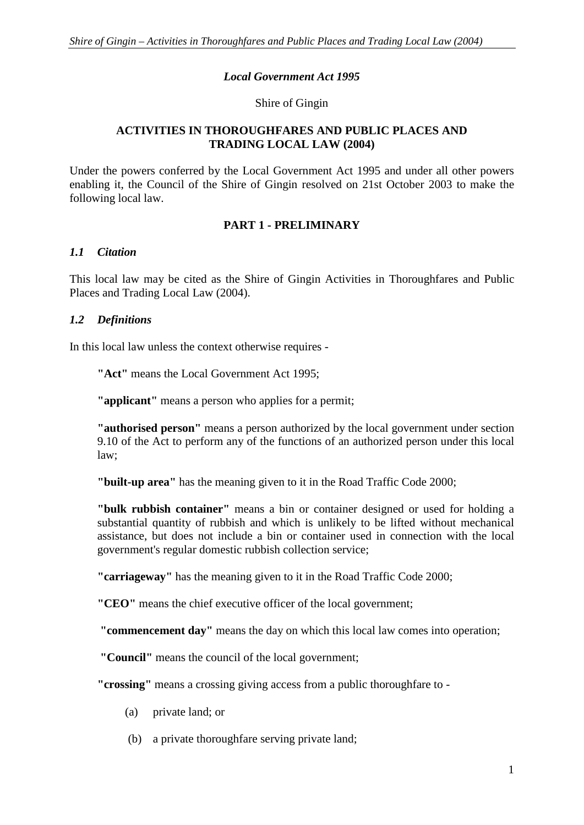#### *Local Government Act 1995*

#### Shire of Gingin

#### **ACTIVITIES IN THOROUGHFARES AND PUBLIC PLACES AND TRADING LOCAL LAW (2004)**

Under the powers conferred by the Local Government Act 1995 and under all other powers enabling it, the Council of the Shire of Gingin resolved on 21st October 2003 to make the following local law.

#### **PART 1 - PRELIMINARY**

#### *1.1 Citation*

This local law may be cited as the Shire of Gingin Activities in Thoroughfares and Public Places and Trading Local Law (2004).

## *1.2 Definitions*

In this local law unless the context otherwise requires -

**"Act"** means the Local Government Act 1995;

**"applicant"** means a person who applies for a permit;

**"authorised person"** means a person authorized by the local government under section 9.10 of the Act to perform any of the functions of an authorized person under this local law;

**"built-up area"** has the meaning given to it in the Road Traffic Code 2000;

**"bulk rubbish container"** means a bin or container designed or used for holding a substantial quantity of rubbish and which is unlikely to be lifted without mechanical assistance, but does not include a bin or container used in connection with the local government's regular domestic rubbish collection service;

**"carriageway"** has the meaning given to it in the Road Traffic Code 2000;

**"CEO"** means the chief executive officer of the local government;

**"commencement day"** means the day on which this local law comes into operation;

**"Council"** means the council of the local government;

**"crossing"** means a crossing giving access from a public thoroughfare to -

- (a) private land; or
- (b) a private thoroughfare serving private land;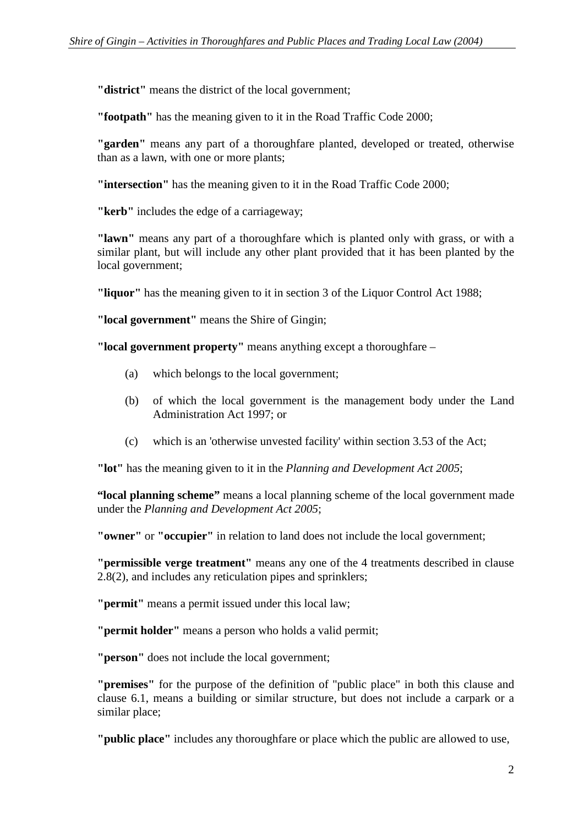**"district"** means the district of the local government;

**"footpath"** has the meaning given to it in the Road Traffic Code 2000;

**"garden"** means any part of a thoroughfare planted, developed or treated, otherwise than as a lawn, with one or more plants;

**"intersection"** has the meaning given to it in the Road Traffic Code 2000;

**"kerb"** includes the edge of a carriageway;

**"lawn"** means any part of a thoroughfare which is planted only with grass, or with a similar plant, but will include any other plant provided that it has been planted by the local government;

**"liquor"** has the meaning given to it in section 3 of the Liquor Control Act 1988;

**"local government"** means the Shire of Gingin;

**"local government property"** means anything except a thoroughfare –

- (a) which belongs to the local government;
- (b) of which the local government is the management body under the Land Administration Act 1997; or
- (c) which is an 'otherwise unvested facility' within section 3.53 of the Act;

**"lot"** has the meaning given to it in the *Planning and Development Act 2005*;

**"local planning scheme"** means a local planning scheme of the local government made under the *Planning and Development Act 2005*;

**"owner"** or **"occupier"** in relation to land does not include the local government;

**"permissible verge treatment"** means any one of the 4 treatments described in clause 2.8(2), and includes any reticulation pipes and sprinklers;

**"permit"** means a permit issued under this local law;

**"permit holder"** means a person who holds a valid permit;

**"person"** does not include the local government;

**"premises"** for the purpose of the definition of "public place" in both this clause and clause 6.1, means a building or similar structure, but does not include a carpark or a similar place;

**"public place"** includes any thoroughfare or place which the public are allowed to use,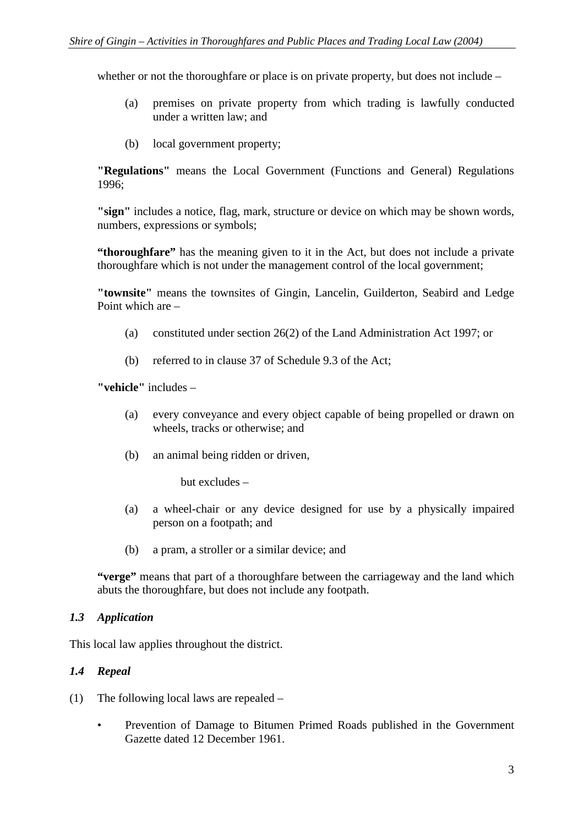whether or not the thoroughfare or place is on private property, but does not include –

- (a) premises on private property from which trading is lawfully conducted under a written law; and
- (b) local government property;

**"Regulations"** means the Local Government (Functions and General) Regulations 1996;

**"sign"** includes a notice, flag, mark, structure or device on which may be shown words, numbers, expressions or symbols;

**"thoroughfare"** has the meaning given to it in the Act, but does not include a private thoroughfare which is not under the management control of the local government;

**"townsite"** means the townsites of Gingin, Lancelin, Guilderton, Seabird and Ledge Point which are –

- (a) constituted under section 26(2) of the Land Administration Act 1997; or
- (b) referred to in clause 37 of Schedule 9.3 of the Act;

**"vehicle"** includes –

- (a) every conveyance and every object capable of being propelled or drawn on wheels, tracks or otherwise; and
- (b) an animal being ridden or driven,

but excludes –

- (a) a wheel-chair or any device designed for use by a physically impaired person on a footpath; and
- (b) a pram, a stroller or a similar device; and

**"verge"** means that part of a thoroughfare between the carriageway and the land which abuts the thoroughfare, but does not include any footpath.

#### *1.3 Application*

This local law applies throughout the district.

## *1.4 Repeal*

- (1) The following local laws are repealed
	- Prevention of Damage to Bitumen Primed Roads published in the Government Gazette dated 12 December 1961.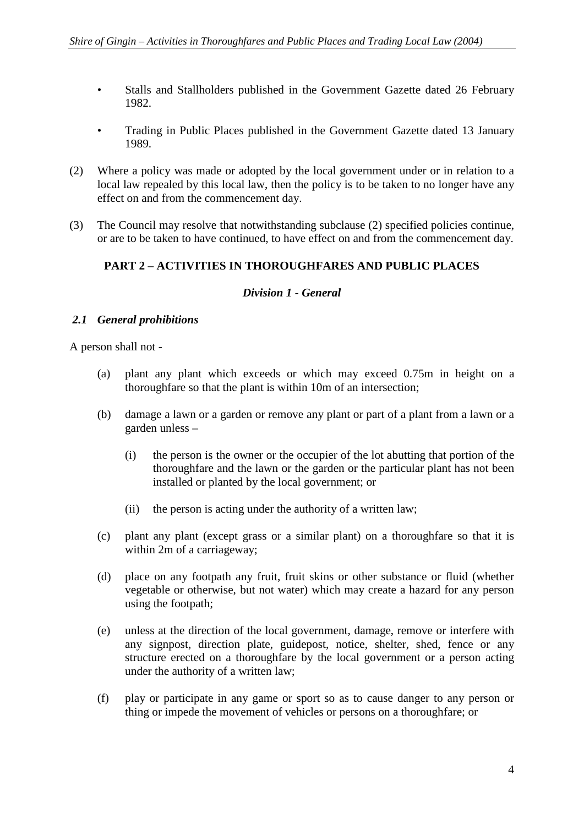- Stalls and Stallholders published in the Government Gazette dated 26 February 1982.
- Trading in Public Places published in the Government Gazette dated 13 January 1989.
- (2) Where a policy was made or adopted by the local government under or in relation to a local law repealed by this local law, then the policy is to be taken to no longer have any effect on and from the commencement day.
- (3) The Council may resolve that notwithstanding subclause (2) specified policies continue, or are to be taken to have continued, to have effect on and from the commencement day.

## **PART 2 – ACTIVITIES IN THOROUGHFARES AND PUBLIC PLACES**

#### *Division 1 - General*

## *2.1 General prohibitions*

A person shall not -

- (a) plant any plant which exceeds or which may exceed 0.75m in height on a thoroughfare so that the plant is within 10m of an intersection;
- (b) damage a lawn or a garden or remove any plant or part of a plant from a lawn or a garden unless –
	- (i) the person is the owner or the occupier of the lot abutting that portion of the thoroughfare and the lawn or the garden or the particular plant has not been installed or planted by the local government; or
	- (ii) the person is acting under the authority of a written law;
- (c) plant any plant (except grass or a similar plant) on a thoroughfare so that it is within 2m of a carriageway;
- (d) place on any footpath any fruit, fruit skins or other substance or fluid (whether vegetable or otherwise, but not water) which may create a hazard for any person using the footpath;
- (e) unless at the direction of the local government, damage, remove or interfere with any signpost, direction plate, guidepost, notice, shelter, shed, fence or any structure erected on a thoroughfare by the local government or a person acting under the authority of a written law;
- (f) play or participate in any game or sport so as to cause danger to any person or thing or impede the movement of vehicles or persons on a thoroughfare; or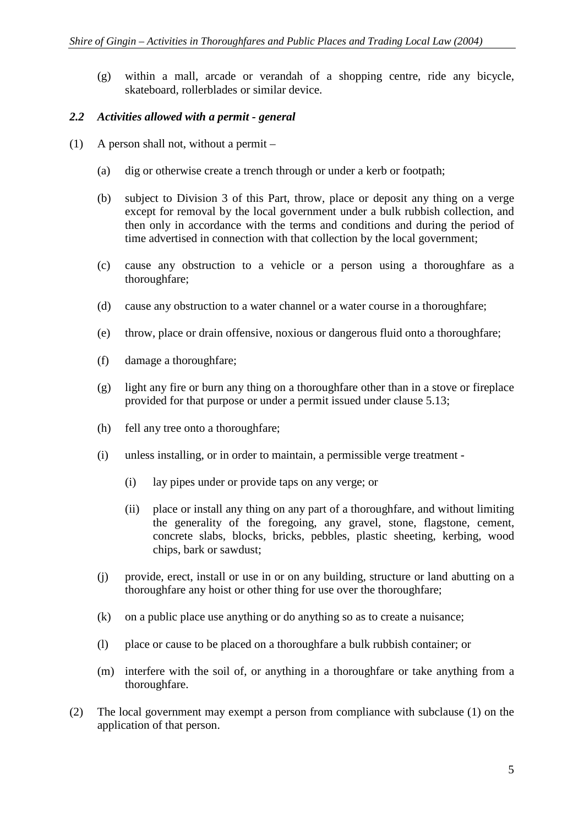(g) within a mall, arcade or verandah of a shopping centre, ride any bicycle, skateboard, rollerblades or similar device.

#### *2.2 Activities allowed with a permit - general*

- (1) A person shall not, without a permit
	- (a) dig or otherwise create a trench through or under a kerb or footpath;
	- (b) subject to Division 3 of this Part, throw, place or deposit any thing on a verge except for removal by the local government under a bulk rubbish collection, and then only in accordance with the terms and conditions and during the period of time advertised in connection with that collection by the local government;
	- (c) cause any obstruction to a vehicle or a person using a thoroughfare as a thoroughfare;
	- (d) cause any obstruction to a water channel or a water course in a thoroughfare;
	- (e) throw, place or drain offensive, noxious or dangerous fluid onto a thoroughfare;
	- (f) damage a thoroughfare;
	- (g) light any fire or burn any thing on a thoroughfare other than in a stove or fireplace provided for that purpose or under a permit issued under clause 5.13;
	- (h) fell any tree onto a thoroughfare;
	- (i) unless installing, or in order to maintain, a permissible verge treatment
		- (i) lay pipes under or provide taps on any verge; or
		- (ii) place or install any thing on any part of a thoroughfare, and without limiting the generality of the foregoing, any gravel, stone, flagstone, cement, concrete slabs, blocks, bricks, pebbles, plastic sheeting, kerbing, wood chips, bark or sawdust;
	- (j) provide, erect, install or use in or on any building, structure or land abutting on a thoroughfare any hoist or other thing for use over the thoroughfare;
	- (k) on a public place use anything or do anything so as to create a nuisance;
	- (l) place or cause to be placed on a thoroughfare a bulk rubbish container; or
	- (m) interfere with the soil of, or anything in a thoroughfare or take anything from a thoroughfare.
- (2) The local government may exempt a person from compliance with subclause (1) on the application of that person.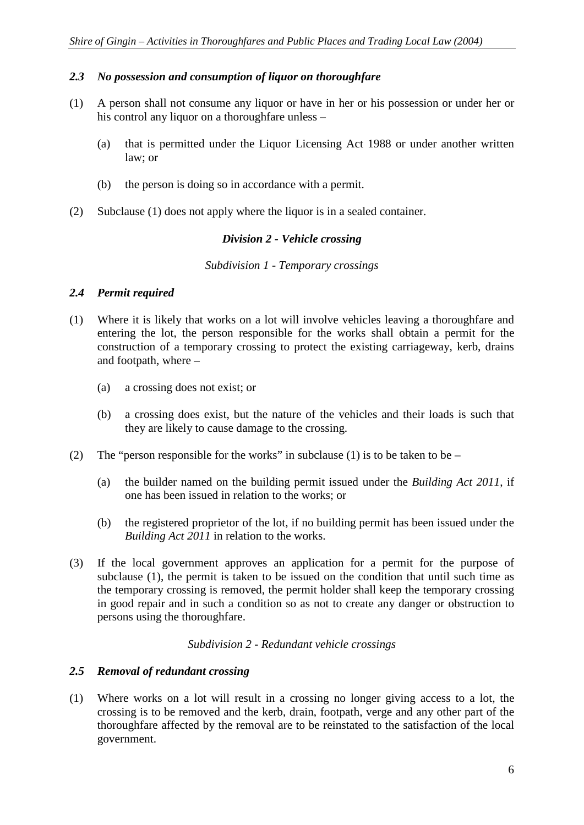#### *2.3 No possession and consumption of liquor on thoroughfare*

- (1) A person shall not consume any liquor or have in her or his possession or under her or his control any liquor on a thoroughfare unless –
	- (a) that is permitted under the Liquor Licensing Act 1988 or under another written law; or
	- (b) the person is doing so in accordance with a permit.
- (2) Subclause (1) does not apply where the liquor is in a sealed container.

#### *Division 2 - Vehicle crossing*

#### *Subdivision 1 - Temporary crossings*

#### *2.4 Permit required*

- (1) Where it is likely that works on a lot will involve vehicles leaving a thoroughfare and entering the lot, the person responsible for the works shall obtain a permit for the construction of a temporary crossing to protect the existing carriageway, kerb, drains and footpath, where –
	- (a) a crossing does not exist; or
	- (b) a crossing does exist, but the nature of the vehicles and their loads is such that they are likely to cause damage to the crossing.
- (2) The "person responsible for the works" in subclause (1) is to be taken to be
	- (a) the builder named on the building permit issued under the *Building Act 2011*, if one has been issued in relation to the works; or
	- (b) the registered proprietor of the lot, if no building permit has been issued under the *Building Act 2011* in relation to the works.
- (3) If the local government approves an application for a permit for the purpose of subclause (1), the permit is taken to be issued on the condition that until such time as the temporary crossing is removed, the permit holder shall keep the temporary crossing in good repair and in such a condition so as not to create any danger or obstruction to persons using the thoroughfare.

#### *Subdivision 2 - Redundant vehicle crossings*

#### *2.5 Removal of redundant crossing*

(1) Where works on a lot will result in a crossing no longer giving access to a lot, the crossing is to be removed and the kerb, drain, footpath, verge and any other part of the thoroughfare affected by the removal are to be reinstated to the satisfaction of the local government.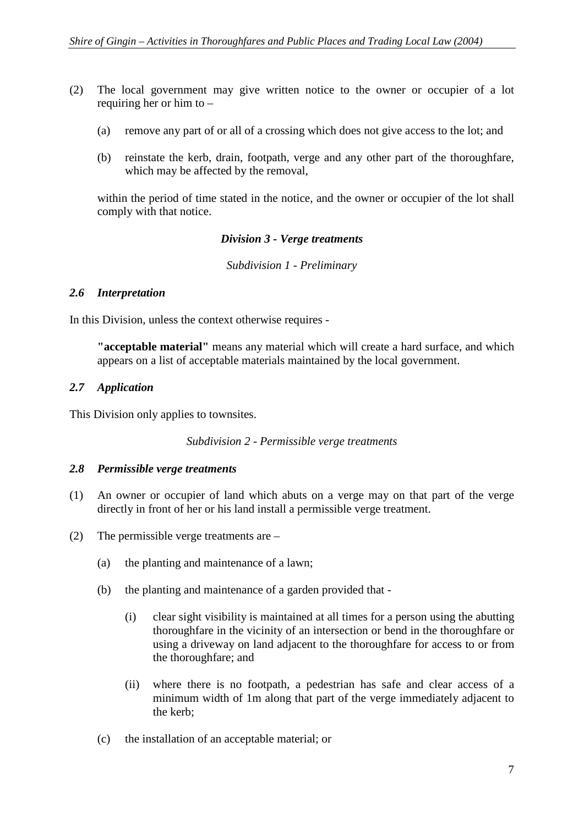- (2) The local government may give written notice to the owner or occupier of a lot requiring her or him to –
	- (a) remove any part of or all of a crossing which does not give access to the lot; and
	- (b) reinstate the kerb, drain, footpath, verge and any other part of the thoroughfare, which may be affected by the removal,

within the period of time stated in the notice, and the owner or occupier of the lot shall comply with that notice.

## *Division 3 - Verge treatments*

*Subdivision 1 - Preliminary* 

#### *2.6 Interpretation*

In this Division, unless the context otherwise requires -

**"acceptable material"** means any material which will create a hard surface, and which appears on a list of acceptable materials maintained by the local government.

#### *2.7 Application*

This Division only applies to townsites.

*Subdivision 2 - Permissible verge treatments* 

#### *2.8 Permissible verge treatments*

- (1) An owner or occupier of land which abuts on a verge may on that part of the verge directly in front of her or his land install a permissible verge treatment.
- (2) The permissible verge treatments are
	- (a) the planting and maintenance of a lawn;
	- (b) the planting and maintenance of a garden provided that
		- (i) clear sight visibility is maintained at all times for a person using the abutting thoroughfare in the vicinity of an intersection or bend in the thoroughfare or using a driveway on land adjacent to the thoroughfare for access to or from the thoroughfare; and
		- (ii) where there is no footpath, a pedestrian has safe and clear access of a minimum width of 1m along that part of the verge immediately adjacent to the kerb;
	- (c) the installation of an acceptable material; or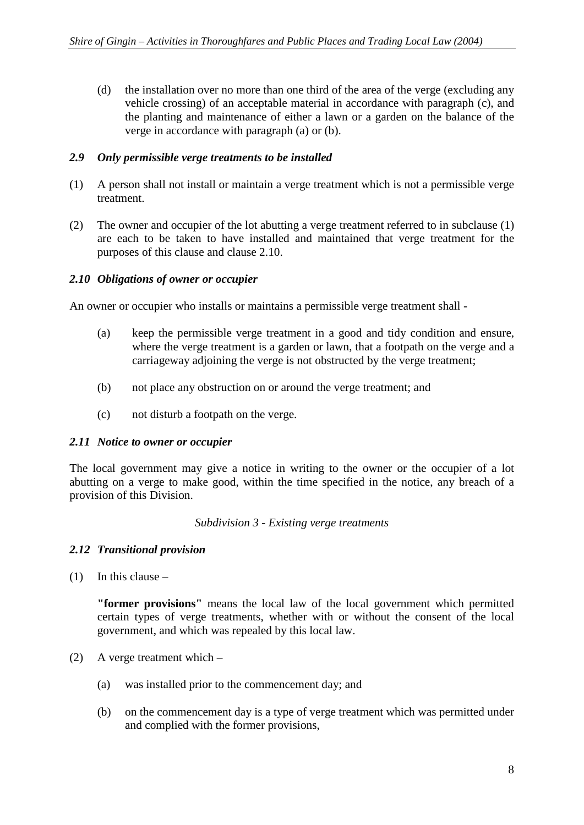(d) the installation over no more than one third of the area of the verge (excluding any vehicle crossing) of an acceptable material in accordance with paragraph (c), and the planting and maintenance of either a lawn or a garden on the balance of the verge in accordance with paragraph (a) or (b).

## *2.9 Only permissible verge treatments to be installed*

- (1) A person shall not install or maintain a verge treatment which is not a permissible verge treatment.
- (2) The owner and occupier of the lot abutting a verge treatment referred to in subclause (1) are each to be taken to have installed and maintained that verge treatment for the purposes of this clause and clause 2.10.

#### *2.10 Obligations of owner or occupier*

An owner or occupier who installs or maintains a permissible verge treatment shall -

- (a) keep the permissible verge treatment in a good and tidy condition and ensure, where the verge treatment is a garden or lawn, that a footpath on the verge and a carriageway adjoining the verge is not obstructed by the verge treatment;
- (b) not place any obstruction on or around the verge treatment; and
- (c) not disturb a footpath on the verge.

## *2.11 Notice to owner or occupier*

The local government may give a notice in writing to the owner or the occupier of a lot abutting on a verge to make good, within the time specified in the notice, any breach of a provision of this Division.

#### *Subdivision 3 - Existing verge treatments*

## *2.12 Transitional provision*

(1) In this clause –

**"former provisions"** means the local law of the local government which permitted certain types of verge treatments, whether with or without the consent of the local government, and which was repealed by this local law.

- (2) A verge treatment which
	- (a) was installed prior to the commencement day; and
	- (b) on the commencement day is a type of verge treatment which was permitted under and complied with the former provisions,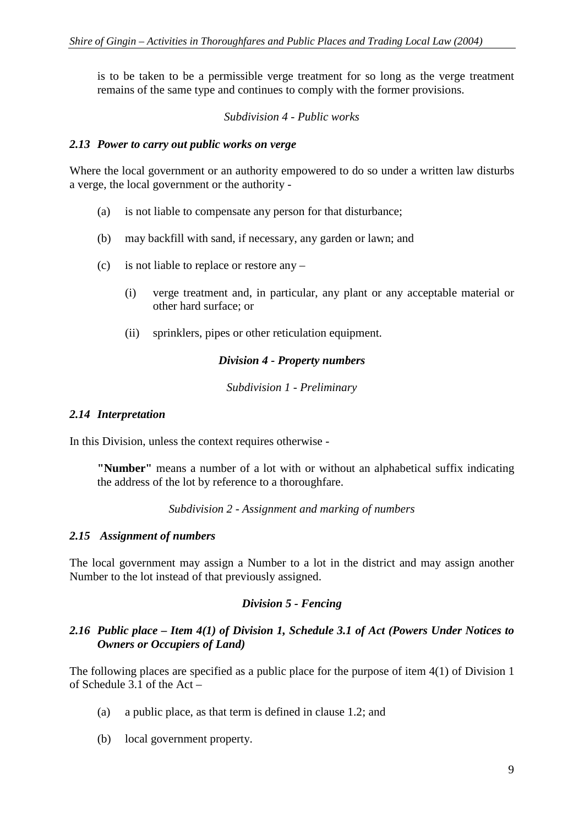is to be taken to be a permissible verge treatment for so long as the verge treatment remains of the same type and continues to comply with the former provisions.

#### *Subdivision 4 - Public works*

#### *2.13 Power to carry out public works on verge*

Where the local government or an authority empowered to do so under a written law disturbs a verge, the local government or the authority -

- (a) is not liable to compensate any person for that disturbance;
- (b) may backfill with sand, if necessary, any garden or lawn; and
- (c) is not liable to replace or restore any
	- (i) verge treatment and, in particular, any plant or any acceptable material or other hard surface; or
	- (ii) sprinklers, pipes or other reticulation equipment.

#### *Division 4 - Property numbers*

*Subdivision 1 - Preliminary* 

#### *2.14 Interpretation*

In this Division, unless the context requires otherwise -

**"Number"** means a number of a lot with or without an alphabetical suffix indicating the address of the lot by reference to a thoroughfare.

*Subdivision 2 - Assignment and marking of numbers* 

#### *2.15 Assignment of numbers*

The local government may assign a Number to a lot in the district and may assign another Number to the lot instead of that previously assigned.

#### *Division 5 - Fencing*

#### *2.16 Public place – Item 4(1) of Division 1, Schedule 3.1 of Act (Powers Under Notices to Owners or Occupiers of Land)*

The following places are specified as a public place for the purpose of item 4(1) of Division 1 of Schedule  $3.1$  of the Act –

- (a) a public place, as that term is defined in clause 1.2; and
- (b) local government property.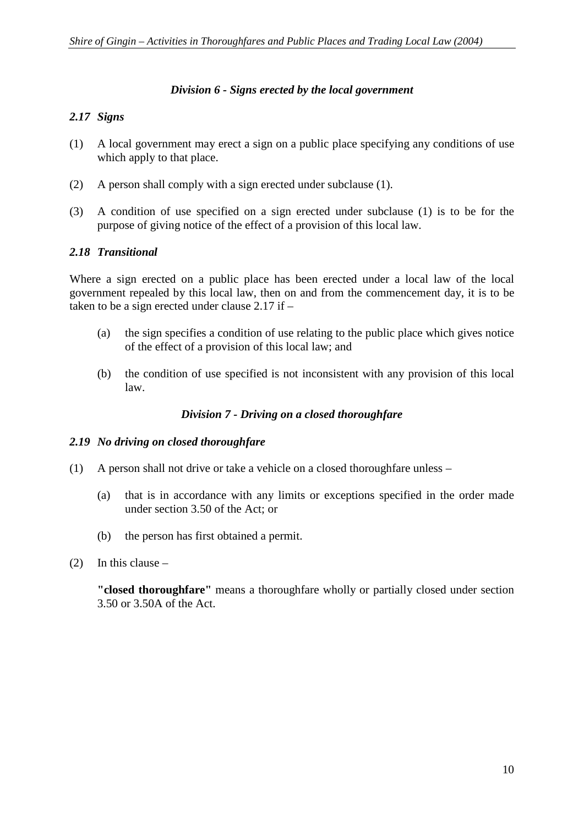#### *Division 6 - Signs erected by the local government*

## *2.17 Signs*

- (1) A local government may erect a sign on a public place specifying any conditions of use which apply to that place.
- (2) A person shall comply with a sign erected under subclause (1).
- (3) A condition of use specified on a sign erected under subclause (1) is to be for the purpose of giving notice of the effect of a provision of this local law.

## *2.18 Transitional*

Where a sign erected on a public place has been erected under a local law of the local government repealed by this local law, then on and from the commencement day, it is to be taken to be a sign erected under clause 2.17 if –

- (a) the sign specifies a condition of use relating to the public place which gives notice of the effect of a provision of this local law; and
- (b) the condition of use specified is not inconsistent with any provision of this local law.

## *Division 7 - Driving on a closed thoroughfare*

## *2.19 No driving on closed thoroughfare*

- (1) A person shall not drive or take a vehicle on a closed thoroughfare unless
	- (a) that is in accordance with any limits or exceptions specified in the order made under section 3.50 of the Act; or
	- (b) the person has first obtained a permit.
- $(2)$  In this clause –

**"closed thoroughfare"** means a thoroughfare wholly or partially closed under section 3.50 or 3.50A of the Act.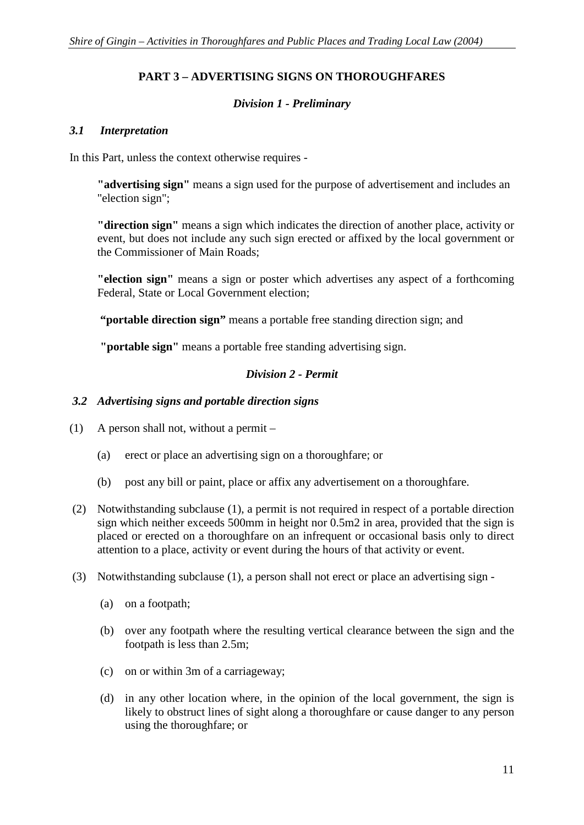## **PART 3 – ADVERTISING SIGNS ON THOROUGHFARES**

## *Division 1 - Preliminary*

#### *3.1 Interpretation*

In this Part, unless the context otherwise requires -

**"advertising sign"** means a sign used for the purpose of advertisement and includes an "election sign";

**"direction sign"** means a sign which indicates the direction of another place, activity or event, but does not include any such sign erected or affixed by the local government or the Commissioner of Main Roads;

**"election sign"** means a sign or poster which advertises any aspect of a forthcoming Federal, State or Local Government election;

**"portable direction sign"** means a portable free standing direction sign; and

**"portable sign"** means a portable free standing advertising sign.

#### *Division 2 - Permit*

#### *3.2 Advertising signs and portable direction signs*

- (1) A person shall not, without a permit
	- (a) erect or place an advertising sign on a thoroughfare; or
	- (b) post any bill or paint, place or affix any advertisement on a thoroughfare.
- (2) Notwithstanding subclause (1), a permit is not required in respect of a portable direction sign which neither exceeds 500mm in height nor 0.5m2 in area, provided that the sign is placed or erected on a thoroughfare on an infrequent or occasional basis only to direct attention to a place, activity or event during the hours of that activity or event.
- (3) Notwithstanding subclause (1), a person shall not erect or place an advertising sign
	- (a) on a footpath;
	- (b) over any footpath where the resulting vertical clearance between the sign and the footpath is less than 2.5m;
	- (c) on or within 3m of a carriageway;
	- (d) in any other location where, in the opinion of the local government, the sign is likely to obstruct lines of sight along a thoroughfare or cause danger to any person using the thoroughfare; or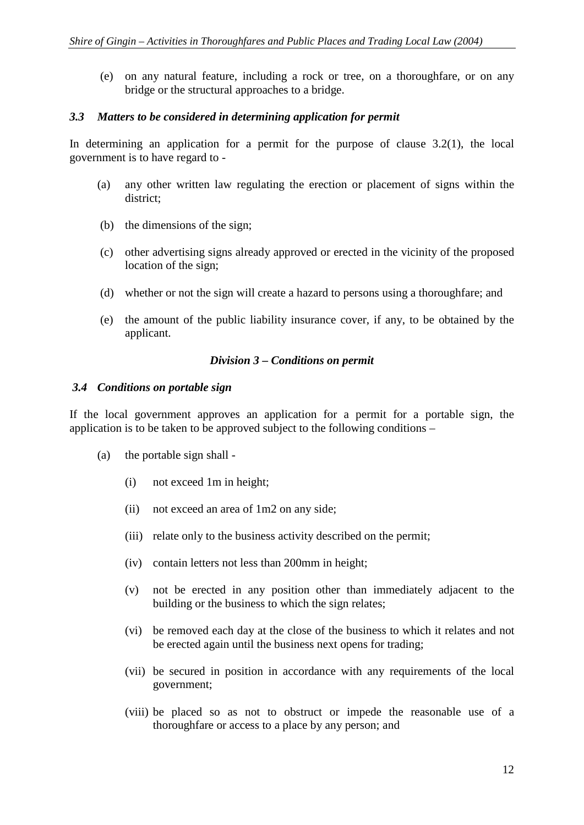(e) on any natural feature, including a rock or tree, on a thoroughfare, or on any bridge or the structural approaches to a bridge.

#### *3.3 Matters to be considered in determining application for permit*

In determining an application for a permit for the purpose of clause  $3.2(1)$ , the local government is to have regard to -

- (a) any other written law regulating the erection or placement of signs within the district;
- (b) the dimensions of the sign;
- (c) other advertising signs already approved or erected in the vicinity of the proposed location of the sign;
- (d) whether or not the sign will create a hazard to persons using a thoroughfare; and
- (e) the amount of the public liability insurance cover, if any, to be obtained by the applicant.

#### *Division 3 – Conditions on permit*

#### *3.4 Conditions on portable sign*

If the local government approves an application for a permit for a portable sign, the application is to be taken to be approved subject to the following conditions –

- (a) the portable sign shall
	- (i) not exceed 1m in height;
	- (ii) not exceed an area of 1m2 on any side;
	- (iii) relate only to the business activity described on the permit;
	- (iv) contain letters not less than 200mm in height;
	- (v) not be erected in any position other than immediately adjacent to the building or the business to which the sign relates;
	- (vi) be removed each day at the close of the business to which it relates and not be erected again until the business next opens for trading;
	- (vii) be secured in position in accordance with any requirements of the local government;
	- (viii) be placed so as not to obstruct or impede the reasonable use of a thoroughfare or access to a place by any person; and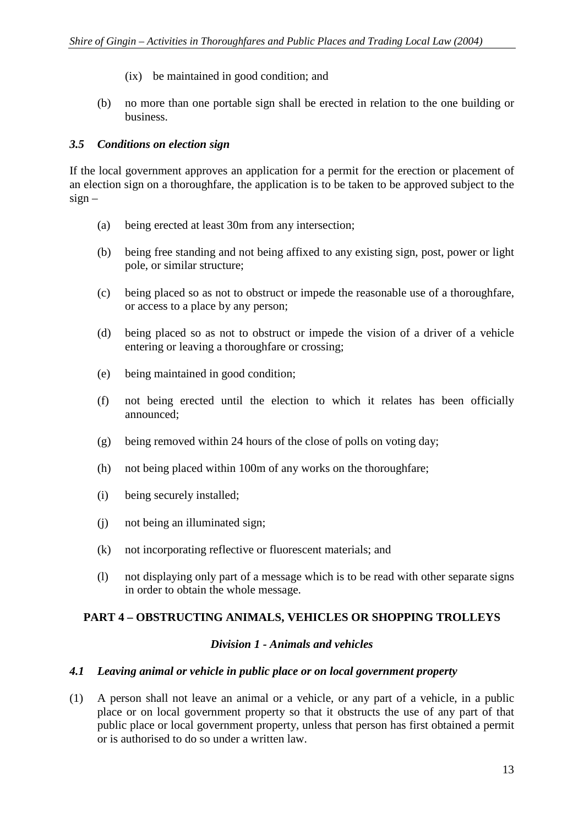- (ix) be maintained in good condition; and
- (b) no more than one portable sign shall be erected in relation to the one building or business.

#### *3.5 Conditions on election sign*

If the local government approves an application for a permit for the erection or placement of an election sign on a thoroughfare, the application is to be taken to be approved subject to the  $sign -$ 

- (a) being erected at least 30m from any intersection;
- (b) being free standing and not being affixed to any existing sign, post, power or light pole, or similar structure;
- (c) being placed so as not to obstruct or impede the reasonable use of a thoroughfare, or access to a place by any person;
- (d) being placed so as not to obstruct or impede the vision of a driver of a vehicle entering or leaving a thoroughfare or crossing;
- (e) being maintained in good condition;
- (f) not being erected until the election to which it relates has been officially announced;
- (g) being removed within 24 hours of the close of polls on voting day;
- (h) not being placed within 100m of any works on the thoroughfare;
- (i) being securely installed;
- (j) not being an illuminated sign;
- (k) not incorporating reflective or fluorescent materials; and
- (l) not displaying only part of a message which is to be read with other separate signs in order to obtain the whole message.

## **PART 4 – OBSTRUCTING ANIMALS, VEHICLES OR SHOPPING TROLLEYS**

#### *Division 1 - Animals and vehicles*

#### *4.1 Leaving animal or vehicle in public place or on local government property*

(1) A person shall not leave an animal or a vehicle, or any part of a vehicle, in a public place or on local government property so that it obstructs the use of any part of that public place or local government property, unless that person has first obtained a permit or is authorised to do so under a written law.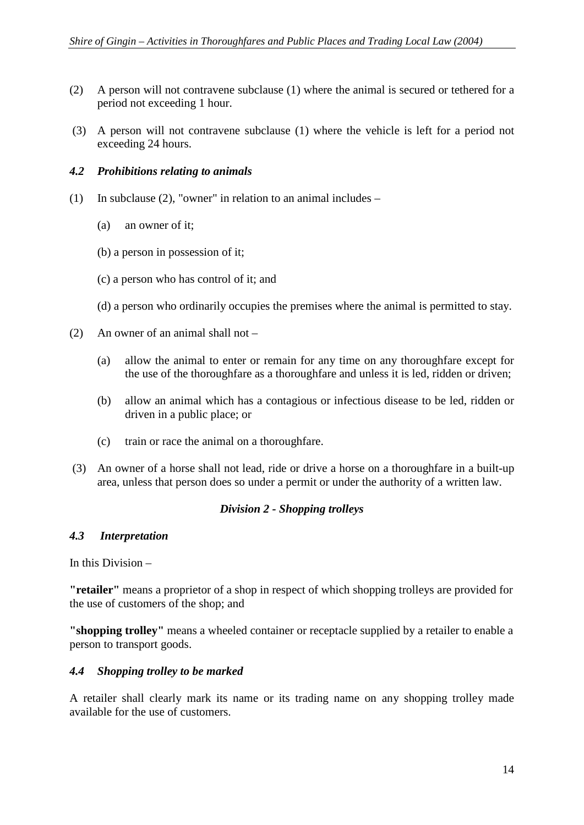- (2) A person will not contravene subclause (1) where the animal is secured or tethered for a period not exceeding 1 hour.
- (3) A person will not contravene subclause (1) where the vehicle is left for a period not exceeding 24 hours.

## *4.2 Prohibitions relating to animals*

- (1) In subclause (2), "owner" in relation to an animal includes
	- (a) an owner of it;
	- (b) a person in possession of it;
	- (c) a person who has control of it; and
	- (d) a person who ordinarily occupies the premises where the animal is permitted to stay.
- (2) An owner of an animal shall not
	- (a) allow the animal to enter or remain for any time on any thoroughfare except for the use of the thoroughfare as a thoroughfare and unless it is led, ridden or driven;
	- (b) allow an animal which has a contagious or infectious disease to be led, ridden or driven in a public place; or
	- (c) train or race the animal on a thoroughfare.
- (3) An owner of a horse shall not lead, ride or drive a horse on a thoroughfare in a built-up area, unless that person does so under a permit or under the authority of a written law.

## *Division 2 - Shopping trolleys*

## *4.3 Interpretation*

In this Division –

**"retailer"** means a proprietor of a shop in respect of which shopping trolleys are provided for the use of customers of the shop; and

**"shopping trolley"** means a wheeled container or receptacle supplied by a retailer to enable a person to transport goods.

## *4.4 Shopping trolley to be marked*

A retailer shall clearly mark its name or its trading name on any shopping trolley made available for the use of customers.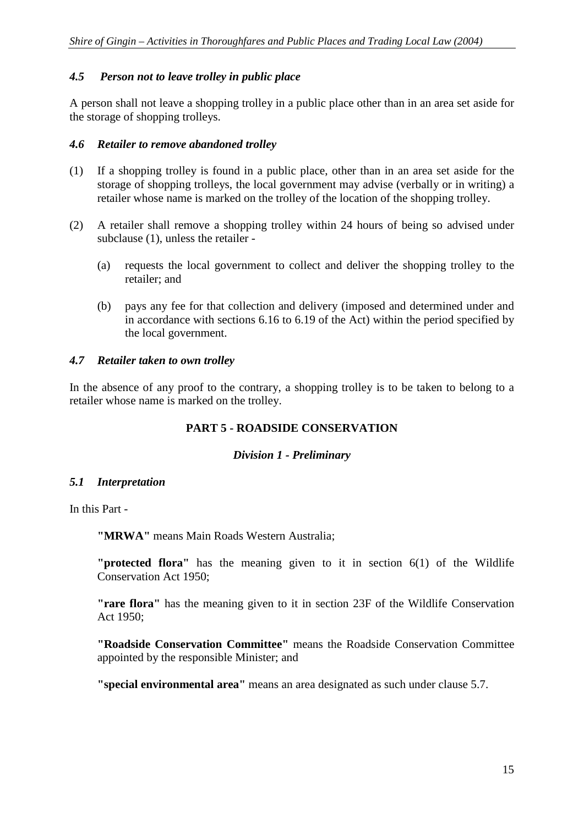## *4.5 Person not to leave trolley in public place*

A person shall not leave a shopping trolley in a public place other than in an area set aside for the storage of shopping trolleys.

## *4.6 Retailer to remove abandoned trolley*

- (1) If a shopping trolley is found in a public place, other than in an area set aside for the storage of shopping trolleys, the local government may advise (verbally or in writing) a retailer whose name is marked on the trolley of the location of the shopping trolley.
- (2) A retailer shall remove a shopping trolley within 24 hours of being so advised under subclause (1), unless the retailer -
	- (a) requests the local government to collect and deliver the shopping trolley to the retailer; and
	- (b) pays any fee for that collection and delivery (imposed and determined under and in accordance with sections 6.16 to 6.19 of the Act) within the period specified by the local government.

## *4.7 Retailer taken to own trolley*

In the absence of any proof to the contrary, a shopping trolley is to be taken to belong to a retailer whose name is marked on the trolley.

## **PART 5 - ROADSIDE CONSERVATION**

#### *Division 1 - Preliminary*

## *5.1 Interpretation*

In this Part -

**"MRWA"** means Main Roads Western Australia;

**"protected flora"** has the meaning given to it in section 6(1) of the Wildlife Conservation Act 1950;

**"rare flora"** has the meaning given to it in section 23F of the Wildlife Conservation Act 1950;

**"Roadside Conservation Committee"** means the Roadside Conservation Committee appointed by the responsible Minister; and

**"special environmental area"** means an area designated as such under clause 5.7.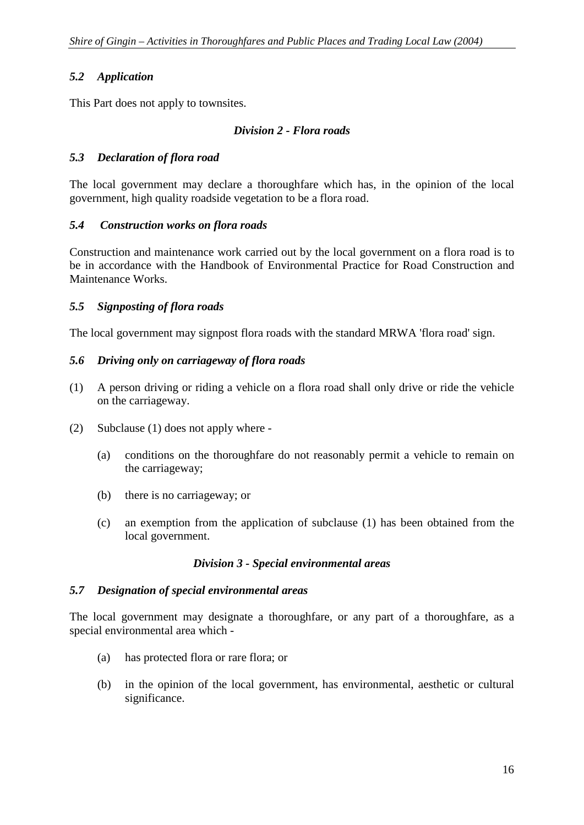## *5.2 Application*

This Part does not apply to townsites.

#### *Division 2 - Flora roads*

## *5.3 Declaration of flora road*

The local government may declare a thoroughfare which has, in the opinion of the local government, high quality roadside vegetation to be a flora road.

#### *5.4 Construction works on flora roads*

Construction and maintenance work carried out by the local government on a flora road is to be in accordance with the Handbook of Environmental Practice for Road Construction and Maintenance Works.

#### *5.5 Signposting of flora roads*

The local government may signpost flora roads with the standard MRWA 'flora road' sign.

#### *5.6 Driving only on carriageway of flora roads*

- (1) A person driving or riding a vehicle on a flora road shall only drive or ride the vehicle on the carriageway.
- (2) Subclause (1) does not apply where
	- (a) conditions on the thoroughfare do not reasonably permit a vehicle to remain on the carriageway;
	- (b) there is no carriageway; or
	- (c) an exemption from the application of subclause (1) has been obtained from the local government.

#### *Division 3 - Special environmental areas*

#### *5.7 Designation of special environmental areas*

The local government may designate a thoroughfare, or any part of a thoroughfare, as a special environmental area which -

- (a) has protected flora or rare flora; or
- (b) in the opinion of the local government, has environmental, aesthetic or cultural significance.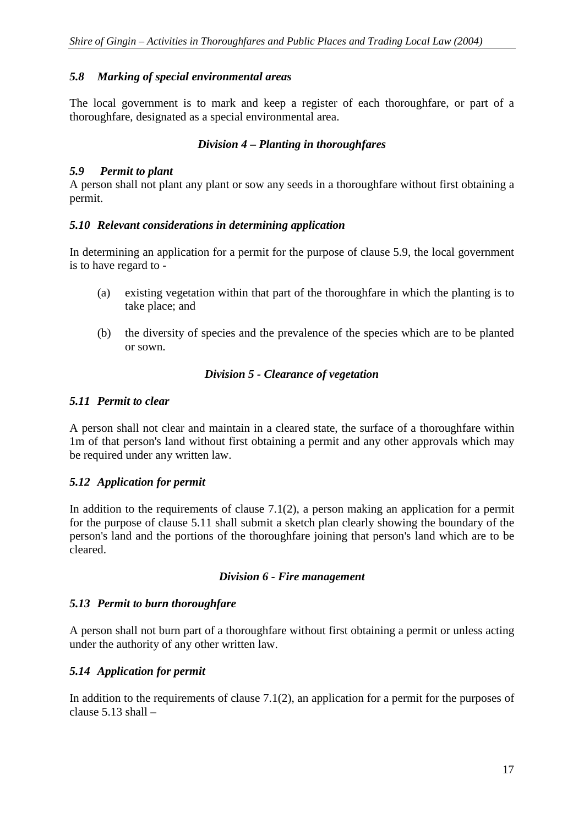## *5.8 Marking of special environmental areas*

The local government is to mark and keep a register of each thoroughfare, or part of a thoroughfare, designated as a special environmental area.

## *Division 4 – Planting in thoroughfares*

#### *5.9 Permit to plant*

A person shall not plant any plant or sow any seeds in a thoroughfare without first obtaining a permit.

#### *5.10 Relevant considerations in determining application*

In determining an application for a permit for the purpose of clause 5.9, the local government is to have regard to -

- (a) existing vegetation within that part of the thoroughfare in which the planting is to take place; and
- (b) the diversity of species and the prevalence of the species which are to be planted or sown.

#### *Division 5 - Clearance of vegetation*

## *5.11 Permit to clear*

A person shall not clear and maintain in a cleared state, the surface of a thoroughfare within 1m of that person's land without first obtaining a permit and any other approvals which may be required under any written law.

## *5.12 Application for permit*

In addition to the requirements of clause  $7.1(2)$ , a person making an application for a permit for the purpose of clause 5.11 shall submit a sketch plan clearly showing the boundary of the person's land and the portions of the thoroughfare joining that person's land which are to be cleared.

#### *Division 6 - Fire management*

#### *5.13 Permit to burn thoroughfare*

A person shall not burn part of a thoroughfare without first obtaining a permit or unless acting under the authority of any other written law.

## *5.14 Application for permit*

In addition to the requirements of clause 7.1(2), an application for a permit for the purposes of clause  $5.13$  shall  $-$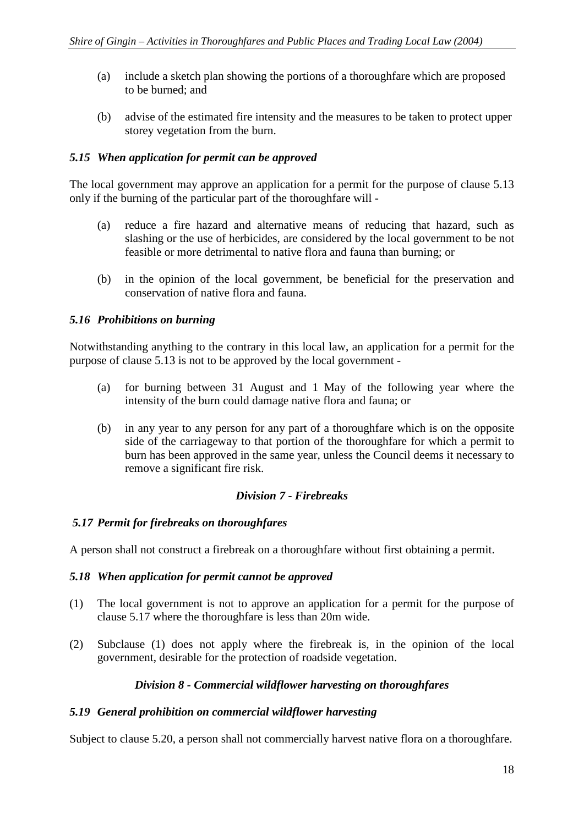- (a) include a sketch plan showing the portions of a thoroughfare which are proposed to be burned; and
- (b) advise of the estimated fire intensity and the measures to be taken to protect upper storey vegetation from the burn.

## *5.15 When application for permit can be approved*

The local government may approve an application for a permit for the purpose of clause 5.13 only if the burning of the particular part of the thoroughfare will -

- (a) reduce a fire hazard and alternative means of reducing that hazard, such as slashing or the use of herbicides, are considered by the local government to be not feasible or more detrimental to native flora and fauna than burning; or
- (b) in the opinion of the local government, be beneficial for the preservation and conservation of native flora and fauna.

## *5.16 Prohibitions on burning*

Notwithstanding anything to the contrary in this local law, an application for a permit for the purpose of clause 5.13 is not to be approved by the local government -

- (a) for burning between 31 August and 1 May of the following year where the intensity of the burn could damage native flora and fauna; or
- (b) in any year to any person for any part of a thoroughfare which is on the opposite side of the carriageway to that portion of the thoroughfare for which a permit to burn has been approved in the same year, unless the Council deems it necessary to remove a significant fire risk.

## *Division 7 - Firebreaks*

## *5.17 Permit for firebreaks on thoroughfares*

A person shall not construct a firebreak on a thoroughfare without first obtaining a permit.

## *5.18 When application for permit cannot be approved*

- (1) The local government is not to approve an application for a permit for the purpose of clause 5.17 where the thoroughfare is less than 20m wide.
- (2) Subclause (1) does not apply where the firebreak is, in the opinion of the local government, desirable for the protection of roadside vegetation.

## *Division 8 - Commercial wildflower harvesting on thoroughfares*

## *5.19 General prohibition on commercial wildflower harvesting*

Subject to clause 5.20, a person shall not commercially harvest native flora on a thoroughfare.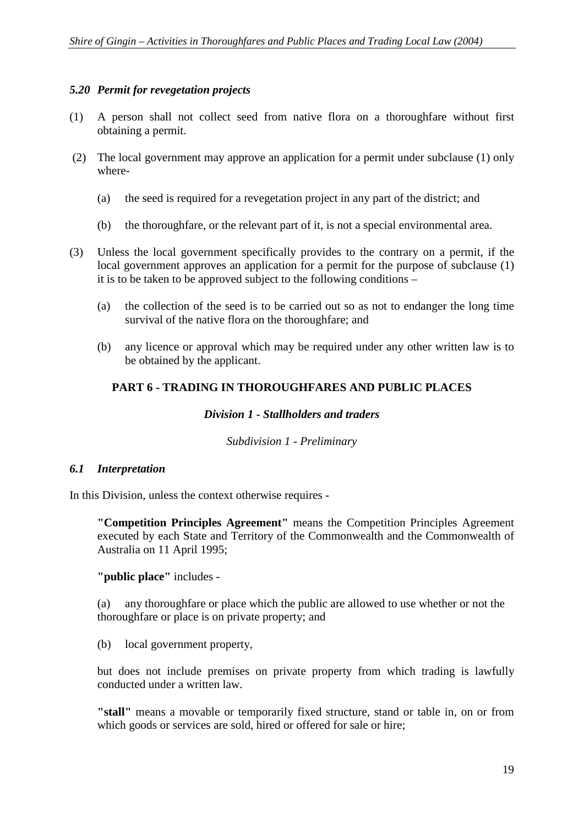#### *5.20 Permit for revegetation projects*

- (1) A person shall not collect seed from native flora on a thoroughfare without first obtaining a permit.
- (2) The local government may approve an application for a permit under subclause (1) only where-
	- (a) the seed is required for a revegetation project in any part of the district; and
	- (b) the thoroughfare, or the relevant part of it, is not a special environmental area.
- (3) Unless the local government specifically provides to the contrary on a permit, if the local government approves an application for a permit for the purpose of subclause (1) it is to be taken to be approved subject to the following conditions –
	- (a) the collection of the seed is to be carried out so as not to endanger the long time survival of the native flora on the thoroughfare; and
	- (b) any licence or approval which may be required under any other written law is to be obtained by the applicant.

## **PART 6 - TRADING IN THOROUGHFARES AND PUBLIC PLACES**

#### *Division 1 - Stallholders and traders*

*Subdivision 1 - Preliminary* 

#### *6.1 Interpretation*

In this Division, unless the context otherwise requires -

**"Competition Principles Agreement"** means the Competition Principles Agreement executed by each State and Territory of the Commonwealth and the Commonwealth of Australia on 11 April 1995;

**"public place"** includes -

(a) any thoroughfare or place which the public are allowed to use whether or not the thoroughfare or place is on private property; and

(b) local government property,

but does not include premises on private property from which trading is lawfully conducted under a written law.

**"stall"** means a movable or temporarily fixed structure, stand or table in, on or from which goods or services are sold, hired or offered for sale or hire;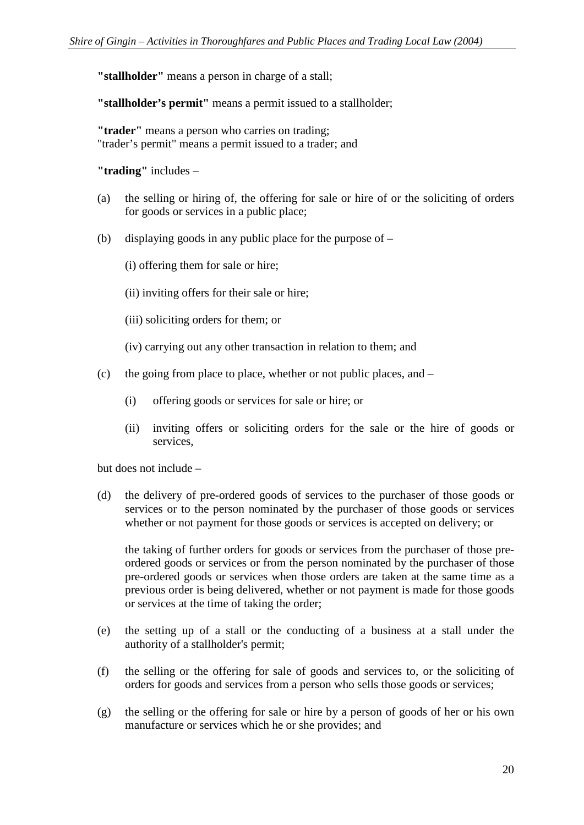**"stallholder"** means a person in charge of a stall;

**"stallholder's permit"** means a permit issued to a stallholder;

**"trader"** means a person who carries on trading; "trader's permit" means a permit issued to a trader; and

**"trading"** includes –

- (a) the selling or hiring of, the offering for sale or hire of or the soliciting of orders for goods or services in a public place;
- (b) displaying goods in any public place for the purpose of
	- (i) offering them for sale or hire;
	- (ii) inviting offers for their sale or hire;
	- (iii) soliciting orders for them; or
	- (iv) carrying out any other transaction in relation to them; and
- (c) the going from place to place, whether or not public places, and
	- (i) offering goods or services for sale or hire; or
	- (ii) inviting offers or soliciting orders for the sale or the hire of goods or services,

but does not include –

(d) the delivery of pre-ordered goods of services to the purchaser of those goods or services or to the person nominated by the purchaser of those goods or services whether or not payment for those goods or services is accepted on delivery; or

the taking of further orders for goods or services from the purchaser of those preordered goods or services or from the person nominated by the purchaser of those pre-ordered goods or services when those orders are taken at the same time as a previous order is being delivered, whether or not payment is made for those goods or services at the time of taking the order;

- (e) the setting up of a stall or the conducting of a business at a stall under the authority of a stallholder's permit;
- (f) the selling or the offering for sale of goods and services to, or the soliciting of orders for goods and services from a person who sells those goods or services;
- (g) the selling or the offering for sale or hire by a person of goods of her or his own manufacture or services which he or she provides; and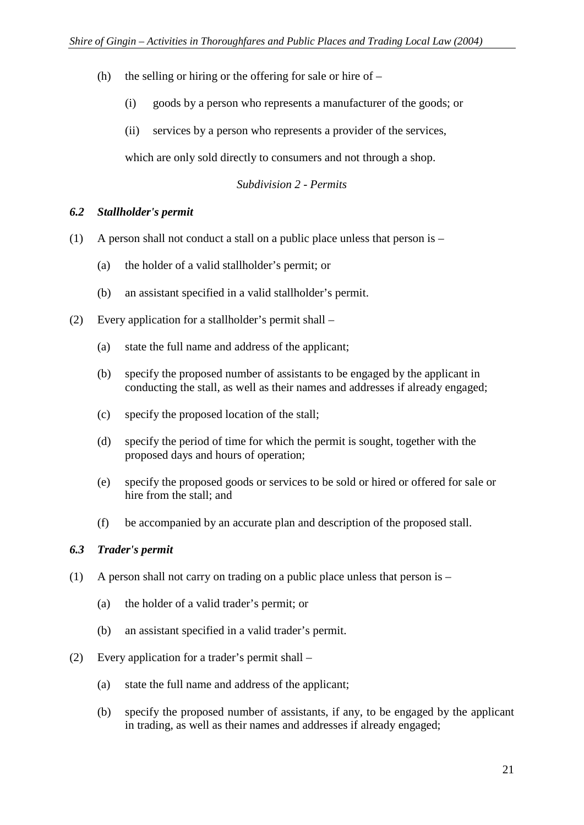- (h) the selling or hiring or the offering for sale or hire of  $-$ 
	- (i) goods by a person who represents a manufacturer of the goods; or
	- (ii) services by a person who represents a provider of the services,

which are only sold directly to consumers and not through a shop.

#### *Subdivision 2 - Permits*

#### *6.2 Stallholder's permit*

- (1) A person shall not conduct a stall on a public place unless that person is
	- (a) the holder of a valid stallholder's permit; or
	- (b) an assistant specified in a valid stallholder's permit.
- (2) Every application for a stallholder's permit shall
	- (a) state the full name and address of the applicant;
	- (b) specify the proposed number of assistants to be engaged by the applicant in conducting the stall, as well as their names and addresses if already engaged;
	- (c) specify the proposed location of the stall;
	- (d) specify the period of time for which the permit is sought, together with the proposed days and hours of operation;
	- (e) specify the proposed goods or services to be sold or hired or offered for sale or hire from the stall; and
	- (f) be accompanied by an accurate plan and description of the proposed stall.

## *6.3 Trader's permit*

- (1) A person shall not carry on trading on a public place unless that person is
	- (a) the holder of a valid trader's permit; or
	- (b) an assistant specified in a valid trader's permit.
- (2) Every application for a trader's permit shall
	- (a) state the full name and address of the applicant;
	- (b) specify the proposed number of assistants, if any, to be engaged by the applicant in trading, as well as their names and addresses if already engaged;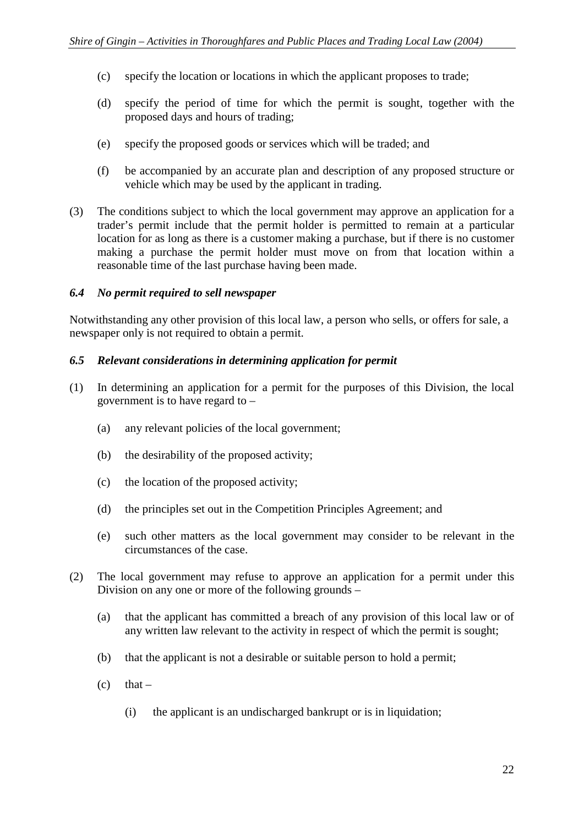- (c) specify the location or locations in which the applicant proposes to trade;
- (d) specify the period of time for which the permit is sought, together with the proposed days and hours of trading;
- (e) specify the proposed goods or services which will be traded; and
- (f) be accompanied by an accurate plan and description of any proposed structure or vehicle which may be used by the applicant in trading.
- (3) The conditions subject to which the local government may approve an application for a trader's permit include that the permit holder is permitted to remain at a particular location for as long as there is a customer making a purchase, but if there is no customer making a purchase the permit holder must move on from that location within a reasonable time of the last purchase having been made.

#### *6.4 No permit required to sell newspaper*

Notwithstanding any other provision of this local law, a person who sells, or offers for sale, a newspaper only is not required to obtain a permit.

#### *6.5 Relevant considerations in determining application for permit*

- (1) In determining an application for a permit for the purposes of this Division, the local government is to have regard to –
	- (a) any relevant policies of the local government;
	- (b) the desirability of the proposed activity;
	- (c) the location of the proposed activity;
	- (d) the principles set out in the Competition Principles Agreement; and
	- (e) such other matters as the local government may consider to be relevant in the circumstances of the case.
- (2) The local government may refuse to approve an application for a permit under this Division on any one or more of the following grounds –
	- (a) that the applicant has committed a breach of any provision of this local law or of any written law relevant to the activity in respect of which the permit is sought;
	- (b) that the applicant is not a desirable or suitable person to hold a permit;
	- $(c)$  that
		- (i) the applicant is an undischarged bankrupt or is in liquidation;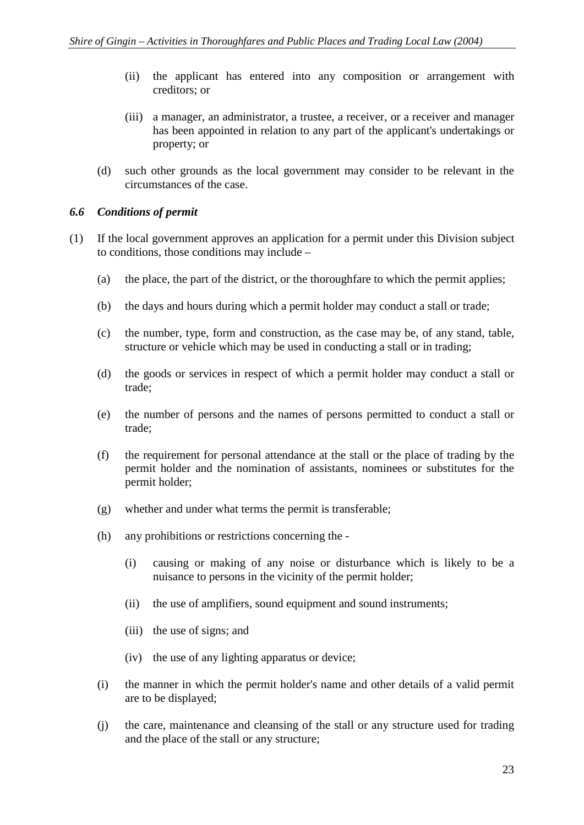- (ii) the applicant has entered into any composition or arrangement with creditors; or
- (iii) a manager, an administrator, a trustee, a receiver, or a receiver and manager has been appointed in relation to any part of the applicant's undertakings or property; or
- (d) such other grounds as the local government may consider to be relevant in the circumstances of the case.

#### *6.6 Conditions of permit*

- (1) If the local government approves an application for a permit under this Division subject to conditions, those conditions may include –
	- (a) the place, the part of the district, or the thoroughfare to which the permit applies;
	- (b) the days and hours during which a permit holder may conduct a stall or trade;
	- (c) the number, type, form and construction, as the case may be, of any stand, table, structure or vehicle which may be used in conducting a stall or in trading;
	- (d) the goods or services in respect of which a permit holder may conduct a stall or trade;
	- (e) the number of persons and the names of persons permitted to conduct a stall or trade;
	- (f) the requirement for personal attendance at the stall or the place of trading by the permit holder and the nomination of assistants, nominees or substitutes for the permit holder;
	- (g) whether and under what terms the permit is transferable;
	- (h) any prohibitions or restrictions concerning the
		- (i) causing or making of any noise or disturbance which is likely to be a nuisance to persons in the vicinity of the permit holder;
		- (ii) the use of amplifiers, sound equipment and sound instruments;
		- (iii) the use of signs; and
		- (iv) the use of any lighting apparatus or device;
	- (i) the manner in which the permit holder's name and other details of a valid permit are to be displayed;
	- (j) the care, maintenance and cleansing of the stall or any structure used for trading and the place of the stall or any structure;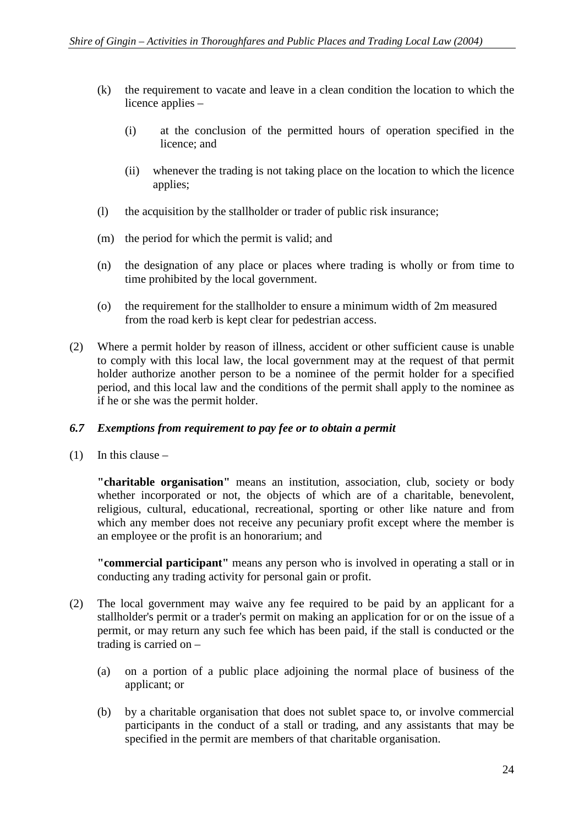- (k) the requirement to vacate and leave in a clean condition the location to which the licence applies –
	- (i) at the conclusion of the permitted hours of operation specified in the licence; and
	- (ii) whenever the trading is not taking place on the location to which the licence applies;
- (l) the acquisition by the stallholder or trader of public risk insurance;
- (m) the period for which the permit is valid; and
- (n) the designation of any place or places where trading is wholly or from time to time prohibited by the local government.
- (o) the requirement for the stallholder to ensure a minimum width of 2m measured from the road kerb is kept clear for pedestrian access.
- (2) Where a permit holder by reason of illness, accident or other sufficient cause is unable to comply with this local law, the local government may at the request of that permit holder authorize another person to be a nominee of the permit holder for a specified period, and this local law and the conditions of the permit shall apply to the nominee as if he or she was the permit holder.

## *6.7 Exemptions from requirement to pay fee or to obtain a permit*

(1) In this clause  $-$ 

**"charitable organisation"** means an institution, association, club, society or body whether incorporated or not, the objects of which are of a charitable, benevolent, religious, cultural, educational, recreational, sporting or other like nature and from which any member does not receive any pecuniary profit except where the member is an employee or the profit is an honorarium; and

**"commercial participant"** means any person who is involved in operating a stall or in conducting any trading activity for personal gain or profit.

- (2) The local government may waive any fee required to be paid by an applicant for a stallholder's permit or a trader's permit on making an application for or on the issue of a permit, or may return any such fee which has been paid, if the stall is conducted or the trading is carried on –
	- (a) on a portion of a public place adjoining the normal place of business of the applicant; or
	- (b) by a charitable organisation that does not sublet space to, or involve commercial participants in the conduct of a stall or trading, and any assistants that may be specified in the permit are members of that charitable organisation.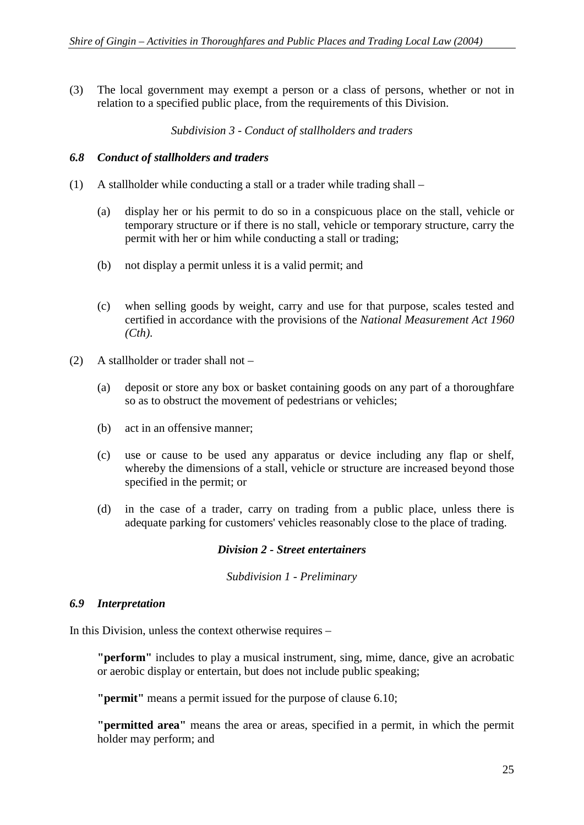(3) The local government may exempt a person or a class of persons, whether or not in relation to a specified public place, from the requirements of this Division.

*Subdivision 3 - Conduct of stallholders and traders* 

#### *6.8 Conduct of stallholders and traders*

- (1) A stallholder while conducting a stall or a trader while trading shall
	- (a) display her or his permit to do so in a conspicuous place on the stall, vehicle or temporary structure or if there is no stall, vehicle or temporary structure, carry the permit with her or him while conducting a stall or trading;
	- (b) not display a permit unless it is a valid permit; and
	- (c) when selling goods by weight, carry and use for that purpose, scales tested and certified in accordance with the provisions of the *National Measurement Act 1960 (Cth)*.
- (2) A stallholder or trader shall not
	- (a) deposit or store any box or basket containing goods on any part of a thoroughfare so as to obstruct the movement of pedestrians or vehicles;
	- (b) act in an offensive manner;
	- (c) use or cause to be used any apparatus or device including any flap or shelf, whereby the dimensions of a stall, vehicle or structure are increased beyond those specified in the permit; or
	- (d) in the case of a trader, carry on trading from a public place, unless there is adequate parking for customers' vehicles reasonably close to the place of trading.

#### *Division 2 - Street entertainers*

*Subdivision 1 - Preliminary* 

#### *6.9 Interpretation*

In this Division, unless the context otherwise requires –

**"perform"** includes to play a musical instrument, sing, mime, dance, give an acrobatic or aerobic display or entertain, but does not include public speaking;

**"permit"** means a permit issued for the purpose of clause 6.10;

**"permitted area"** means the area or areas, specified in a permit, in which the permit holder may perform; and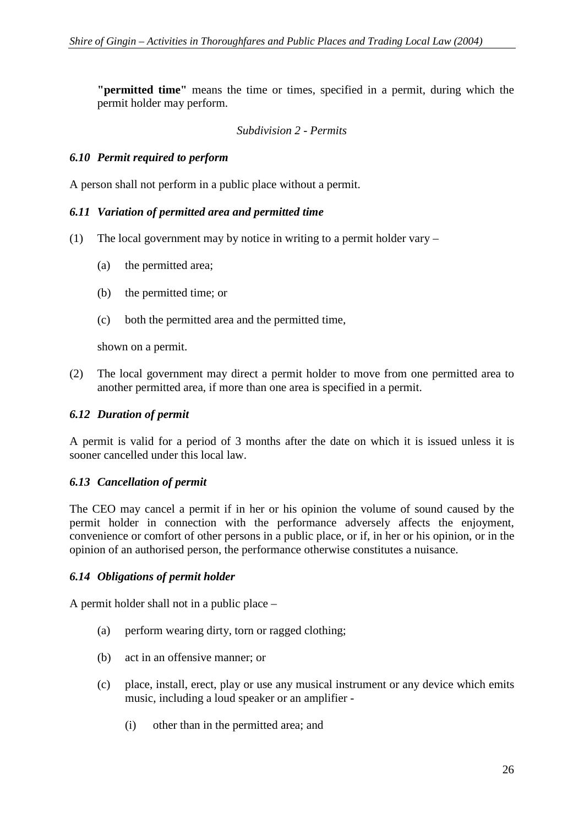**"permitted time"** means the time or times, specified in a permit, during which the permit holder may perform.

#### *Subdivision 2 - Permits*

#### *6.10 Permit required to perform*

A person shall not perform in a public place without a permit.

#### *6.11 Variation of permitted area and permitted time*

- (1) The local government may by notice in writing to a permit holder vary
	- (a) the permitted area;
	- (b) the permitted time; or
	- (c) both the permitted area and the permitted time,

shown on a permit.

(2) The local government may direct a permit holder to move from one permitted area to another permitted area, if more than one area is specified in a permit.

#### *6.12 Duration of permit*

A permit is valid for a period of 3 months after the date on which it is issued unless it is sooner cancelled under this local law.

## *6.13 Cancellation of permit*

The CEO may cancel a permit if in her or his opinion the volume of sound caused by the permit holder in connection with the performance adversely affects the enjoyment, convenience or comfort of other persons in a public place, or if, in her or his opinion, or in the opinion of an authorised person, the performance otherwise constitutes a nuisance.

#### *6.14 Obligations of permit holder*

A permit holder shall not in a public place –

- (a) perform wearing dirty, torn or ragged clothing;
- (b) act in an offensive manner; or
- (c) place, install, erect, play or use any musical instrument or any device which emits music, including a loud speaker or an amplifier -
	- (i) other than in the permitted area; and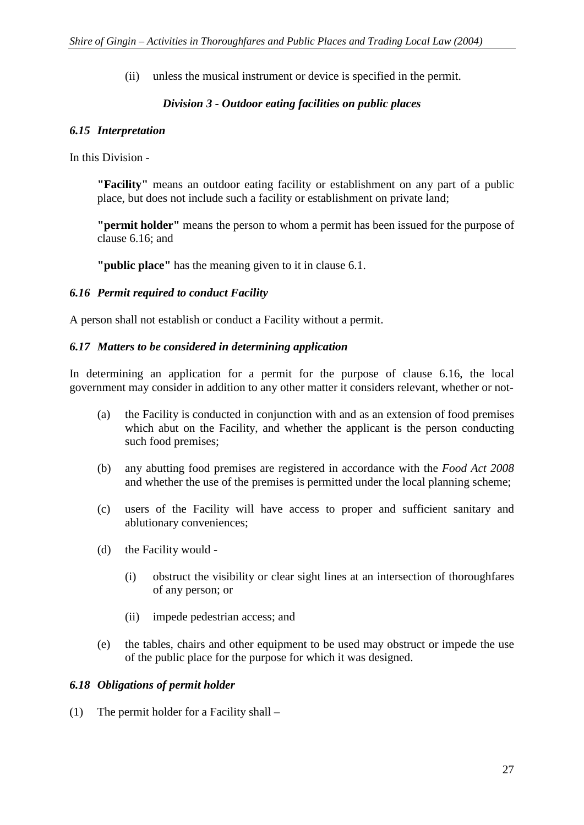(ii) unless the musical instrument or device is specified in the permit.

## *Division 3 - Outdoor eating facilities on public places*

#### *6.15 Interpretation*

In this Division -

**"Facility"** means an outdoor eating facility or establishment on any part of a public place, but does not include such a facility or establishment on private land;

**"permit holder"** means the person to whom a permit has been issued for the purpose of clause 6.16; and

**"public place"** has the meaning given to it in clause 6.1.

#### *6.16 Permit required to conduct Facility*

A person shall not establish or conduct a Facility without a permit.

#### *6.17 Matters to be considered in determining application*

In determining an application for a permit for the purpose of clause 6.16, the local government may consider in addition to any other matter it considers relevant, whether or not-

- (a) the Facility is conducted in conjunction with and as an extension of food premises which abut on the Facility, and whether the applicant is the person conducting such food premises;
- (b) any abutting food premises are registered in accordance with the *Food Act 2008*  and whether the use of the premises is permitted under the local planning scheme;
- (c) users of the Facility will have access to proper and sufficient sanitary and ablutionary conveniences;
- (d) the Facility would
	- (i) obstruct the visibility or clear sight lines at an intersection of thoroughfares of any person; or
	- (ii) impede pedestrian access; and
- (e) the tables, chairs and other equipment to be used may obstruct or impede the use of the public place for the purpose for which it was designed.

#### *6.18 Obligations of permit holder*

(1) The permit holder for a Facility shall –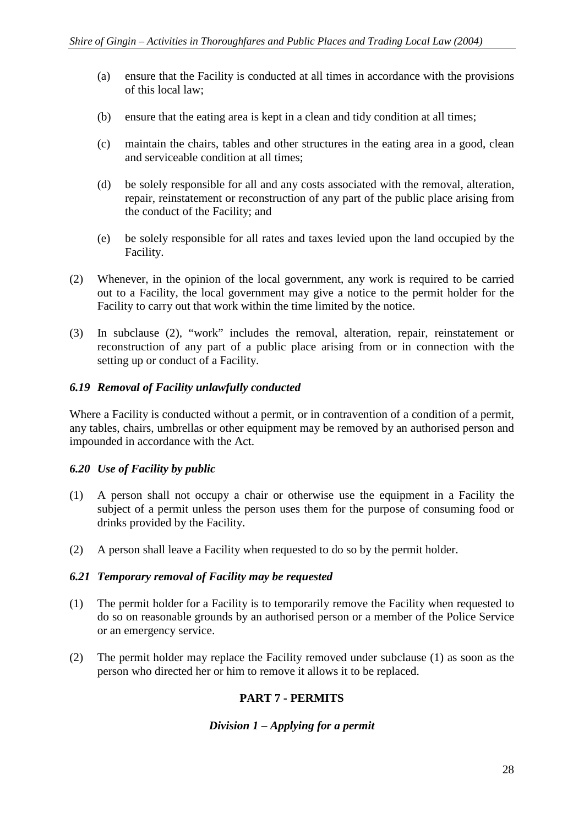- (a) ensure that the Facility is conducted at all times in accordance with the provisions of this local law;
- (b) ensure that the eating area is kept in a clean and tidy condition at all times;
- (c) maintain the chairs, tables and other structures in the eating area in a good, clean and serviceable condition at all times;
- (d) be solely responsible for all and any costs associated with the removal, alteration, repair, reinstatement or reconstruction of any part of the public place arising from the conduct of the Facility; and
- (e) be solely responsible for all rates and taxes levied upon the land occupied by the Facility.
- (2) Whenever, in the opinion of the local government, any work is required to be carried out to a Facility, the local government may give a notice to the permit holder for the Facility to carry out that work within the time limited by the notice.
- (3) In subclause (2), "work" includes the removal, alteration, repair, reinstatement or reconstruction of any part of a public place arising from or in connection with the setting up or conduct of a Facility.

#### *6.19 Removal of Facility unlawfully conducted*

Where a Facility is conducted without a permit, or in contravention of a condition of a permit, any tables, chairs, umbrellas or other equipment may be removed by an authorised person and impounded in accordance with the Act.

## *6.20 Use of Facility by public*

- (1) A person shall not occupy a chair or otherwise use the equipment in a Facility the subject of a permit unless the person uses them for the purpose of consuming food or drinks provided by the Facility.
- (2) A person shall leave a Facility when requested to do so by the permit holder.

#### *6.21 Temporary removal of Facility may be requested*

- (1) The permit holder for a Facility is to temporarily remove the Facility when requested to do so on reasonable grounds by an authorised person or a member of the Police Service or an emergency service.
- (2) The permit holder may replace the Facility removed under subclause (1) as soon as the person who directed her or him to remove it allows it to be replaced.

## **PART 7 - PERMITS**

#### *Division 1 – Applying for a permit*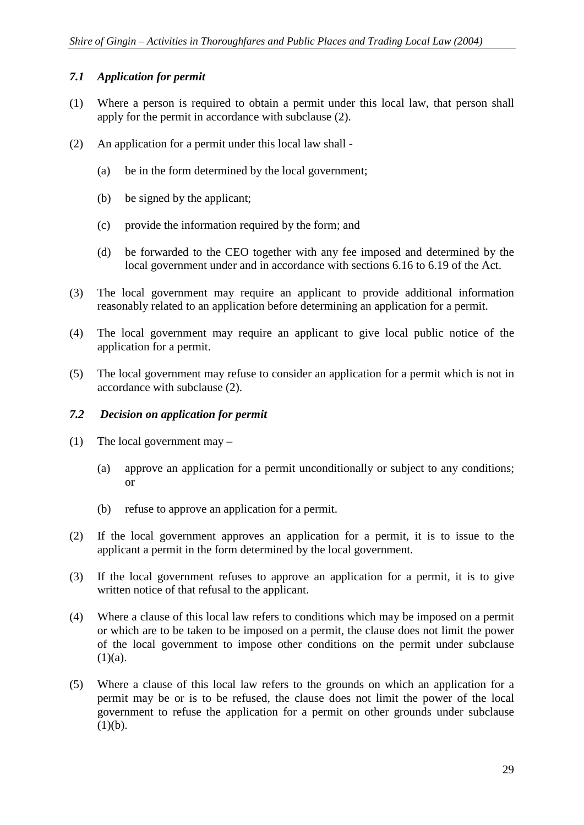#### *7.1 Application for permit*

- (1) Where a person is required to obtain a permit under this local law, that person shall apply for the permit in accordance with subclause (2).
- (2) An application for a permit under this local law shall
	- (a) be in the form determined by the local government;
	- (b) be signed by the applicant;
	- (c) provide the information required by the form; and
	- (d) be forwarded to the CEO together with any fee imposed and determined by the local government under and in accordance with sections 6.16 to 6.19 of the Act.
- (3) The local government may require an applicant to provide additional information reasonably related to an application before determining an application for a permit.
- (4) The local government may require an applicant to give local public notice of the application for a permit.
- (5) The local government may refuse to consider an application for a permit which is not in accordance with subclause (2).

## *7.2 Decision on application for permit*

- (1) The local government may
	- (a) approve an application for a permit unconditionally or subject to any conditions; or
	- (b) refuse to approve an application for a permit.
- (2) If the local government approves an application for a permit, it is to issue to the applicant a permit in the form determined by the local government.
- (3) If the local government refuses to approve an application for a permit, it is to give written notice of that refusal to the applicant.
- (4) Where a clause of this local law refers to conditions which may be imposed on a permit or which are to be taken to be imposed on a permit, the clause does not limit the power of the local government to impose other conditions on the permit under subclause  $(1)(a)$ .
- (5) Where a clause of this local law refers to the grounds on which an application for a permit may be or is to be refused, the clause does not limit the power of the local government to refuse the application for a permit on other grounds under subclause  $(1)(b)$ .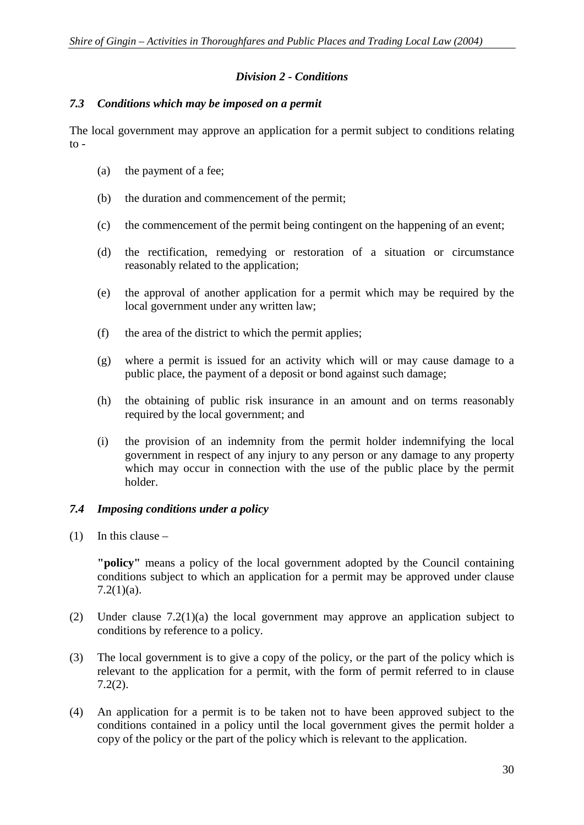## *Division 2 - Conditions*

#### *7.3 Conditions which may be imposed on a permit*

The local government may approve an application for a permit subject to conditions relating  $\overline{t}$ .

- (a) the payment of a fee;
- (b) the duration and commencement of the permit;
- (c) the commencement of the permit being contingent on the happening of an event;
- (d) the rectification, remedying or restoration of a situation or circumstance reasonably related to the application;
- (e) the approval of another application for a permit which may be required by the local government under any written law;
- (f) the area of the district to which the permit applies;
- (g) where a permit is issued for an activity which will or may cause damage to a public place, the payment of a deposit or bond against such damage;
- (h) the obtaining of public risk insurance in an amount and on terms reasonably required by the local government; and
- (i) the provision of an indemnity from the permit holder indemnifying the local government in respect of any injury to any person or any damage to any property which may occur in connection with the use of the public place by the permit holder.

## *7.4 Imposing conditions under a policy*

 $(1)$  In this clause –

**"policy"** means a policy of the local government adopted by the Council containing conditions subject to which an application for a permit may be approved under clause  $7.2(1)(a)$ .

- (2) Under clause 7.2(1)(a) the local government may approve an application subject to conditions by reference to a policy.
- (3) The local government is to give a copy of the policy, or the part of the policy which is relevant to the application for a permit, with the form of permit referred to in clause 7.2(2).
- (4) An application for a permit is to be taken not to have been approved subject to the conditions contained in a policy until the local government gives the permit holder a copy of the policy or the part of the policy which is relevant to the application.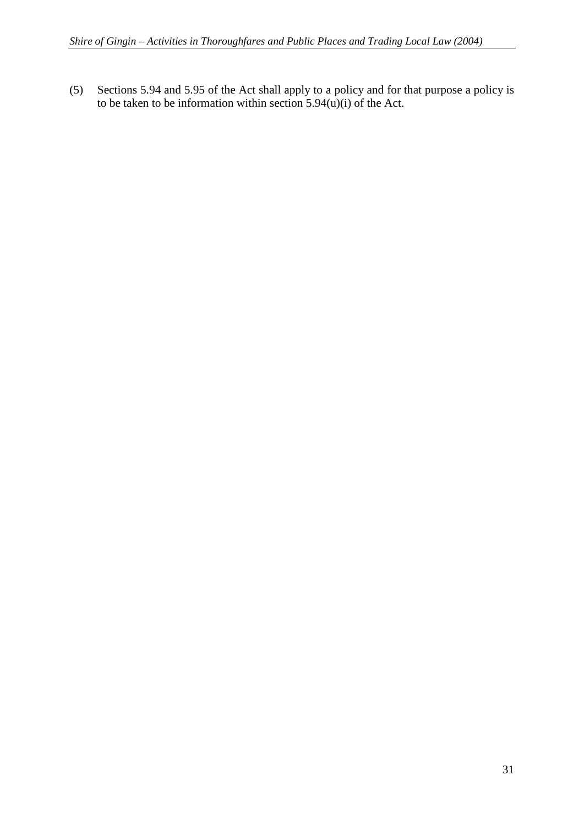(5) Sections 5.94 and 5.95 of the Act shall apply to a policy and for that purpose a policy is to be taken to be information within section  $5.94(u)(i)$  of the Act.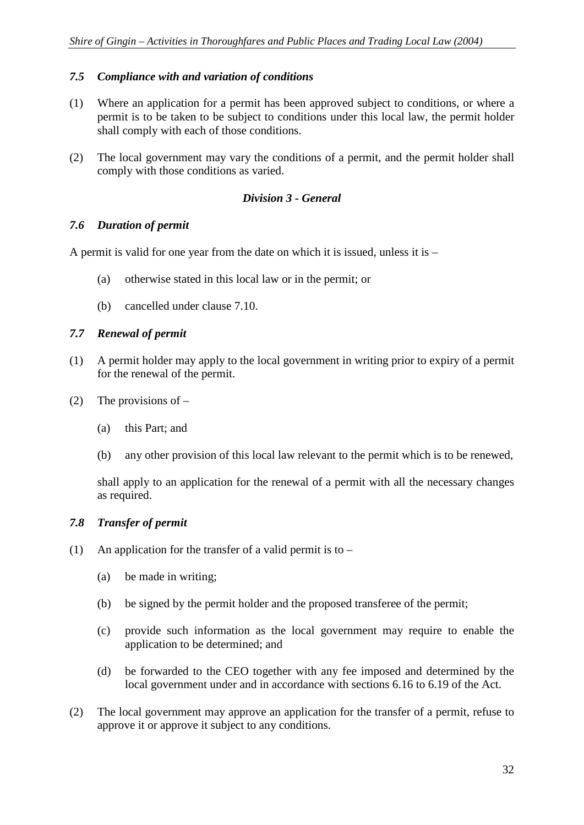## *7.5 Compliance with and variation of conditions*

- (1) Where an application for a permit has been approved subject to conditions, or where a permit is to be taken to be subject to conditions under this local law, the permit holder shall comply with each of those conditions.
- (2) The local government may vary the conditions of a permit, and the permit holder shall comply with those conditions as varied.

#### *Division 3 - General*

#### *7.6 Duration of permit*

A permit is valid for one year from the date on which it is issued, unless it is –

- (a) otherwise stated in this local law or in the permit; or
- (b) cancelled under clause 7.10.

## *7.7 Renewal of permit*

- (1) A permit holder may apply to the local government in writing prior to expiry of a permit for the renewal of the permit.
- (2) The provisions of  $-$ 
	- (a) this Part; and
	- (b) any other provision of this local law relevant to the permit which is to be renewed,

shall apply to an application for the renewal of a permit with all the necessary changes as required.

## *7.8 Transfer of permit*

- (1) An application for the transfer of a valid permit is to  $-$ 
	- (a) be made in writing;
	- (b) be signed by the permit holder and the proposed transferee of the permit;
	- (c) provide such information as the local government may require to enable the application to be determined; and
	- (d) be forwarded to the CEO together with any fee imposed and determined by the local government under and in accordance with sections 6.16 to 6.19 of the Act.
- (2) The local government may approve an application for the transfer of a permit, refuse to approve it or approve it subject to any conditions.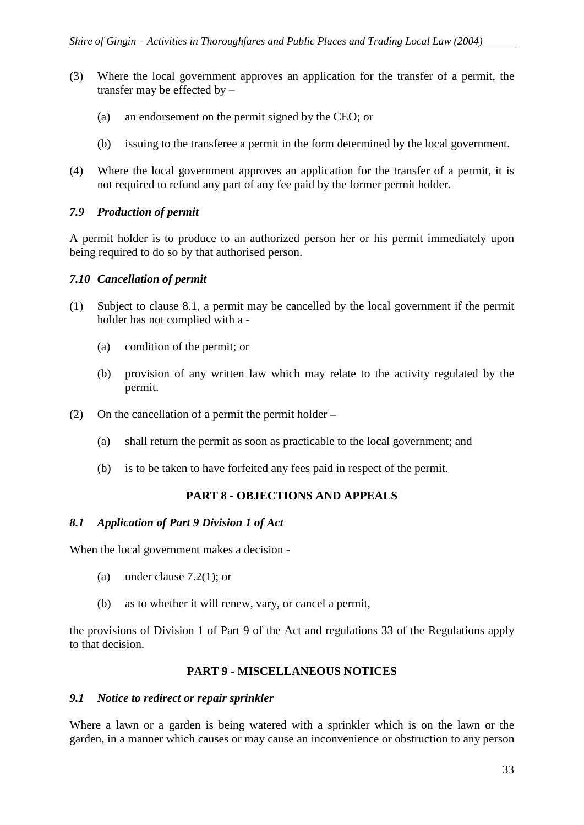- (3) Where the local government approves an application for the transfer of a permit, the transfer may be effected by –
	- (a) an endorsement on the permit signed by the CEO; or
	- (b) issuing to the transferee a permit in the form determined by the local government.
- (4) Where the local government approves an application for the transfer of a permit, it is not required to refund any part of any fee paid by the former permit holder.

#### *7.9 Production of permit*

A permit holder is to produce to an authorized person her or his permit immediately upon being required to do so by that authorised person.

#### *7.10 Cancellation of permit*

- (1) Subject to clause 8.1, a permit may be cancelled by the local government if the permit holder has not complied with a -
	- (a) condition of the permit; or
	- (b) provision of any written law which may relate to the activity regulated by the permit.
- (2) On the cancellation of a permit the permit holder
	- (a) shall return the permit as soon as practicable to the local government; and
	- (b) is to be taken to have forfeited any fees paid in respect of the permit.

## **PART 8 - OBJECTIONS AND APPEALS**

#### *8.1 Application of Part 9 Division 1 of Act*

When the local government makes a decision -

- (a) under clause 7.2(1); or
- (b) as to whether it will renew, vary, or cancel a permit,

the provisions of Division 1 of Part 9 of the Act and regulations 33 of the Regulations apply to that decision.

## **PART 9 - MISCELLANEOUS NOTICES**

#### *9.1 Notice to redirect or repair sprinkler*

Where a lawn or a garden is being watered with a sprinkler which is on the lawn or the garden, in a manner which causes or may cause an inconvenience or obstruction to any person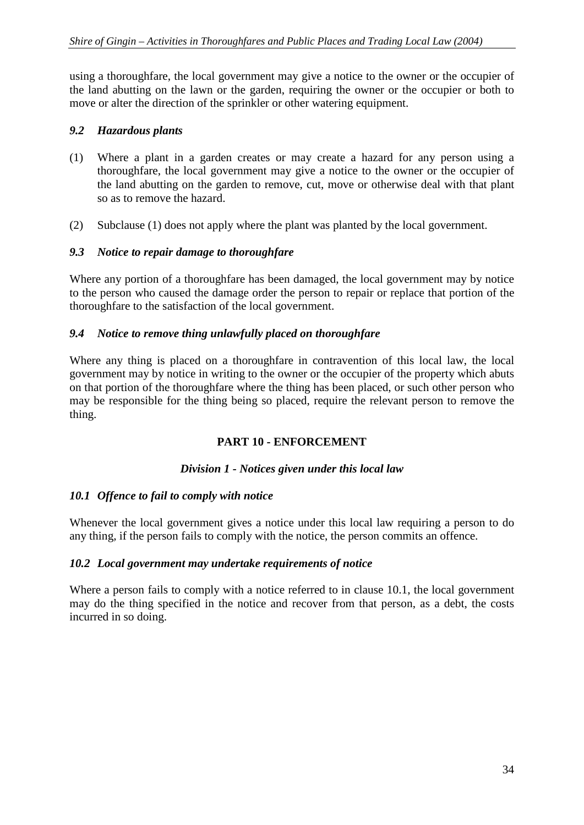using a thoroughfare, the local government may give a notice to the owner or the occupier of the land abutting on the lawn or the garden, requiring the owner or the occupier or both to move or alter the direction of the sprinkler or other watering equipment.

#### *9.2 Hazardous plants*

- (1) Where a plant in a garden creates or may create a hazard for any person using a thoroughfare, the local government may give a notice to the owner or the occupier of the land abutting on the garden to remove, cut, move or otherwise deal with that plant so as to remove the hazard.
- (2) Subclause (1) does not apply where the plant was planted by the local government.

#### *9.3 Notice to repair damage to thoroughfare*

Where any portion of a thoroughfare has been damaged, the local government may by notice to the person who caused the damage order the person to repair or replace that portion of the thoroughfare to the satisfaction of the local government.

#### *9.4 Notice to remove thing unlawfully placed on thoroughfare*

Where any thing is placed on a thoroughfare in contravention of this local law, the local government may by notice in writing to the owner or the occupier of the property which abuts on that portion of the thoroughfare where the thing has been placed, or such other person who may be responsible for the thing being so placed, require the relevant person to remove the thing.

## **PART 10 - ENFORCEMENT**

#### *Division 1 - Notices given under this local law*

#### *10.1 Offence to fail to comply with notice*

Whenever the local government gives a notice under this local law requiring a person to do any thing, if the person fails to comply with the notice, the person commits an offence.

#### *10.2 Local government may undertake requirements of notice*

Where a person fails to comply with a notice referred to in clause 10.1, the local government may do the thing specified in the notice and recover from that person, as a debt, the costs incurred in so doing.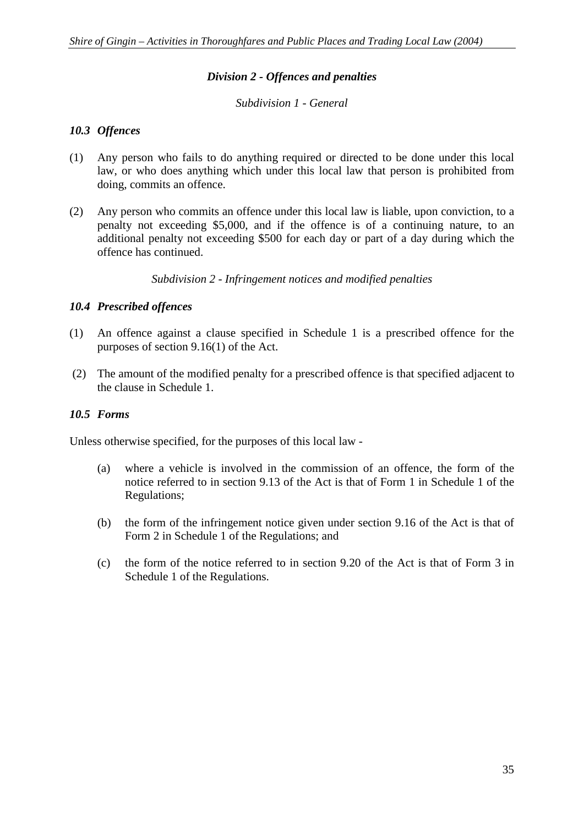#### *Division 2 - Offences and penalties*

#### *Subdivision 1 - General*

#### *10.3 Offences*

- (1) Any person who fails to do anything required or directed to be done under this local law, or who does anything which under this local law that person is prohibited from doing, commits an offence.
- (2) Any person who commits an offence under this local law is liable, upon conviction, to a penalty not exceeding \$5,000, and if the offence is of a continuing nature, to an additional penalty not exceeding \$500 for each day or part of a day during which the offence has continued.

*Subdivision 2 - Infringement notices and modified penalties* 

#### *10.4 Prescribed offences*

- (1) An offence against a clause specified in Schedule 1 is a prescribed offence for the purposes of section 9.16(1) of the Act.
- (2) The amount of the modified penalty for a prescribed offence is that specified adjacent to the clause in Schedule 1.

#### *10.5 Forms*

Unless otherwise specified, for the purposes of this local law -

- (a) where a vehicle is involved in the commission of an offence, the form of the notice referred to in section 9.13 of the Act is that of Form 1 in Schedule 1 of the Regulations;
- (b) the form of the infringement notice given under section 9.16 of the Act is that of Form 2 in Schedule 1 of the Regulations; and
- (c) the form of the notice referred to in section 9.20 of the Act is that of Form 3 in Schedule 1 of the Regulations.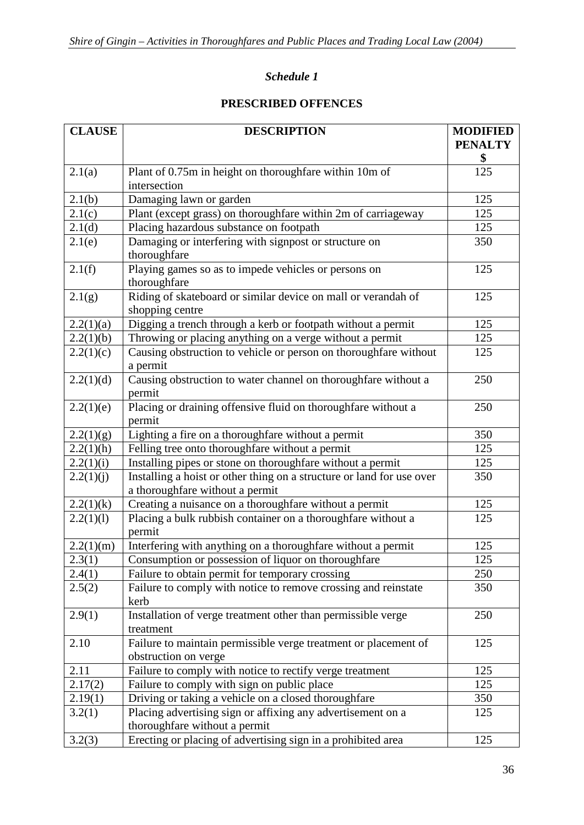## *Schedule 1*

## **PRESCRIBED OFFENCES**

| <b>CLAUSE</b> | <b>DESCRIPTION</b>                                                    | <b>MODIFIED</b> |
|---------------|-----------------------------------------------------------------------|-----------------|
|               |                                                                       | <b>PENALTY</b>  |
|               |                                                                       | \$              |
| 2.1(a)        | Plant of 0.75m in height on thoroughfare within 10m of                | 125             |
|               | intersection                                                          |                 |
| 2.1(b)        | Damaging lawn or garden                                               | 125             |
| 2.1(c)        | Plant (except grass) on thoroughfare within 2m of carriageway         | 125             |
| 2.1(d)        | Placing hazardous substance on footpath                               | 125             |
| 2.1(e)        | Damaging or interfering with signpost or structure on                 | 350             |
|               | thoroughfare                                                          |                 |
| 2.1(f)        | Playing games so as to impede vehicles or persons on                  | 125             |
|               | thoroughfare                                                          |                 |
| 2.1(g)        | Riding of skateboard or similar device on mall or verandah of         | 125             |
|               | shopping centre                                                       |                 |
| 2.2(1)(a)     | Digging a trench through a kerb or footpath without a permit          | 125             |
| 2.2(1)(b)     | Throwing or placing anything on a verge without a permit              | 125             |
| 2.2(1)(c)     | Causing obstruction to vehicle or person on thoroughfare without      | 125             |
|               | a permit                                                              |                 |
| 2.2(1)(d)     | Causing obstruction to water channel on thoroughfare without a        | 250             |
|               | permit                                                                |                 |
| 2.2(1)(e)     | Placing or draining offensive fluid on thoroughfare without a         | 250             |
|               | permit                                                                |                 |
| 2.2(1)(g)     | Lighting a fire on a thoroughfare without a permit                    | 350             |
| 2.2(1)(h)     | Felling tree onto thoroughfare without a permit                       | 125             |
| 2.2(1)(i)     | Installing pipes or stone on thoroughfare without a permit            | 125             |
| 2.2(1)(j)     | Installing a hoist or other thing on a structure or land for use over | 350             |
|               | a thoroughfare without a permit                                       |                 |
| 2.2(1)(k)     | Creating a nuisance on a thoroughfare without a permit                | 125             |
| 2.2(1)(1)     | Placing a bulk rubbish container on a thoroughfare without a          | 125             |
|               | permit                                                                |                 |
| 2.2(1)(m)     | Interfering with anything on a thoroughfare without a permit          | 125             |
| 2.3(1)        | Consumption or possession of liquor on thoroughfare                   | 125             |
| 2.4(1)        | Failure to obtain permit for temporary crossing                       | 250             |
| 2.5(2)        | Failure to comply with notice to remove crossing and reinstate        | 350             |
|               | kerb                                                                  |                 |
| 2.9(1)        | Installation of verge treatment other than permissible verge          | 250             |
|               | treatment                                                             |                 |
| 2.10          | Failure to maintain permissible verge treatment or placement of       | 125             |
|               | obstruction on verge                                                  |                 |
| 2.11          | Failure to comply with notice to rectify verge treatment              | 125             |
| 2.17(2)       | Failure to comply with sign on public place                           | 125             |
| 2.19(1)       | Driving or taking a vehicle on a closed thoroughfare                  | 350             |
| 3.2(1)        | Placing advertising sign or affixing any advertisement on a           | 125             |
|               | thoroughfare without a permit                                         |                 |
| 3.2(3)        | Erecting or placing of advertising sign in a prohibited area          | 125             |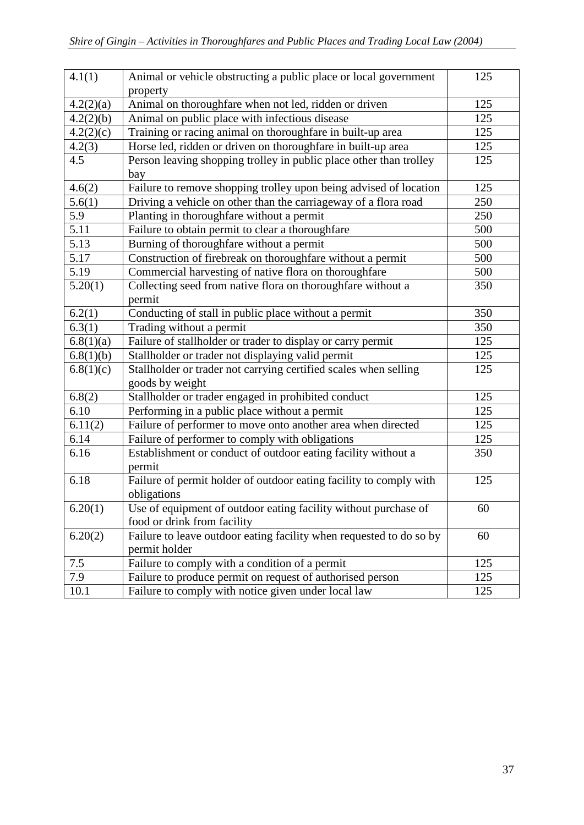| 4.1(1)               | Animal or vehicle obstructing a public place or local government<br>property                   | 125 |
|----------------------|------------------------------------------------------------------------------------------------|-----|
| 4.2(2)(a)            | Animal on thoroughfare when not led, ridden or driven                                          | 125 |
| 4.2(2)(b)            | Animal on public place with infectious disease                                                 | 125 |
| 4.2(2)(c)            | Training or racing animal on thoroughfare in built-up area                                     | 125 |
| 4.2(3)               | Horse led, ridden or driven on thoroughfare in built-up area                                   | 125 |
| 4.5                  | Person leaving shopping trolley in public place other than trolley<br>bay                      | 125 |
| 4.6(2)               | Failure to remove shopping trolley upon being advised of location                              | 125 |
| 5.6(1)               | Driving a vehicle on other than the carriageway of a flora road                                | 250 |
| 5.9                  | Planting in thoroughfare without a permit                                                      | 250 |
| 5.11                 | Failure to obtain permit to clear a thoroughfare                                               | 500 |
| 5.13                 | Burning of thoroughfare without a permit                                                       | 500 |
| 5.17                 | Construction of firebreak on thoroughfare without a permit                                     | 500 |
| $\overline{5.19}$    | Commercial harvesting of native flora on thoroughfare                                          | 500 |
| 5.20(1)              | Collecting seed from native flora on thoroughfare without a<br>permit                          | 350 |
| 6.2(1)               | Conducting of stall in public place without a permit                                           | 350 |
| 6.3(1)               | Trading without a permit                                                                       | 350 |
| 6.8(1)(a)            | Failure of stallholder or trader to display or carry permit                                    | 125 |
| 6.8(1)(b)            | Stallholder or trader not displaying valid permit                                              | 125 |
| 6.8(1)(c)            | Stallholder or trader not carrying certified scales when selling<br>goods by weight            | 125 |
| 6.8(2)               | Stallholder or trader engaged in prohibited conduct                                            | 125 |
| 6.10                 | Performing in a public place without a permit                                                  | 125 |
| 6.11(2)              | Failure of performer to move onto another area when directed                                   | 125 |
| 6.14                 | Failure of performer to comply with obligations                                                | 125 |
| 6.16                 | Establishment or conduct of outdoor eating facility without a<br>permit                        | 350 |
| 6.18                 | Failure of permit holder of outdoor eating facility to comply with<br>obligations              | 125 |
| $\overline{6.20(1)}$ | Use of equipment of outdoor eating facility without purchase of<br>food or drink from facility | 60  |
| 6.20(2)              | Failure to leave outdoor eating facility when requested to do so by<br>permit holder           | 60  |
| 7.5                  | Failure to comply with a condition of a permit                                                 | 125 |
| 7.9                  | Failure to produce permit on request of authorised person                                      | 125 |
| 10.1                 | Failure to comply with notice given under local law                                            | 125 |